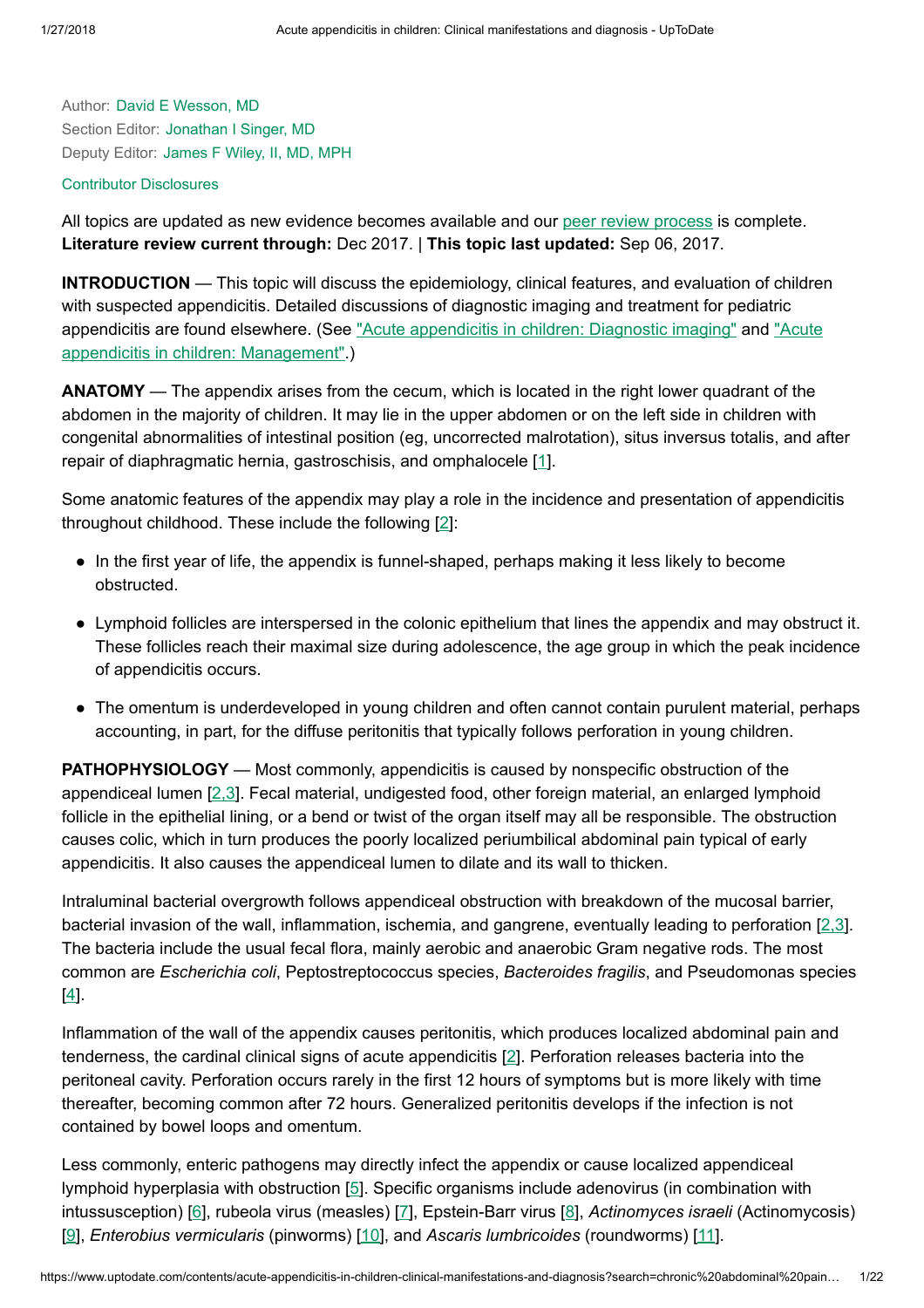Author: David E [Wesson,](https://www.uptodate.com/contents/acute-appendicitis-in-children-clinical-manifestations-and-diagnosis/contributors) MD Section Editor: [Jonathan](https://www.uptodate.com/contents/acute-appendicitis-in-children-clinical-manifestations-and-diagnosis/contributors) I Singer, MD Deputy Editor: [James](https://www.uptodate.com/contents/acute-appendicitis-in-children-clinical-manifestations-and-diagnosis/contributors) F Wiley, II, MD, MPH

#### Contributor [Disclosures](https://www.uptodate.com/contents/acute-appendicitis-in-children-clinical-manifestations-and-diagnosis/contributor-disclosure)

All topics are updated as new evidence becomes available and our peer review [process](https://www.uptodate.com/home/editorial-policy) is complete. Literature review current through: Dec 2017. | This topic last updated: Sep 06, 2017.

INTRODUCTION — This topic will discuss the epidemiology, clinical features, and evaluation of children with suspected appendicitis. Detailed discussions of diagnostic imaging and treatment for pediatric [appendicitis](https://www.uptodate.com/contents/acute-appendicitis-in-children-diagnostic-imaging?source=see_link) are found elsewhere. (See "Acute appendicitis in children: Diagnostic imaging" and "Acute appendicitis in children: [Management".\)](https://www.uptodate.com/contents/acute-appendicitis-in-children-management?source=see_link)

ANATOMY — The appendix arises from the cecum, which is located in the right lower quadrant of the abdomen in the majority of children. It may lie in the upper abdomen or on the left side in children with congenital abnormalities of intestinal position (eg, uncorrected malrotation), situs inversus totalis, and after repair of diaphragmatic hernia, gastroschisis, and omphalocele [\[1](https://www.uptodate.com/contents/acute-appendicitis-in-children-clinical-manifestations-and-diagnosis/abstract/1)].

Some anatomic features of the appendix may play a role in the incidence and presentation of appendicitis throughout childhood. These include the following [\[2](https://www.uptodate.com/contents/acute-appendicitis-in-children-clinical-manifestations-and-diagnosis/abstract/2)]:

- In the first year of life, the appendix is funnel-shaped, perhaps making it less likely to become obstructed.
- Lymphoid follicles are interspersed in the colonic epithelium that lines the appendix and may obstruct it. These follicles reach their maximal size during adolescence, the age group in which the peak incidence of appendicitis occurs.
- The omentum is underdeveloped in young children and often cannot contain purulent material, perhaps accounting, in part, for the diffuse peritonitis that typically follows perforation in young children.

**PATHOPHYSIOLOGY** — Most commonly, appendicitis is caused by nonspecific obstruction of the appendiceal lumen [\[2,3](https://www.uptodate.com/contents/acute-appendicitis-in-children-clinical-manifestations-and-diagnosis/abstract/2,3)]. Fecal material, undigested food, other foreign material, an enlarged lymphoid follicle in the epithelial lining, or a bend or twist of the organ itself may all be responsible. The obstruction causes colic, which in turn produces the poorly localized periumbilical abdominal pain typical of early appendicitis. It also causes the appendiceal lumen to dilate and its wall to thicken.

Intraluminal bacterial overgrowth follows appendiceal obstruction with breakdown of the mucosal barrier, bacterial invasion of the wall, inflammation, ischemia, and gangrene, eventually leading to perforation [[2,3\]](https://www.uptodate.com/contents/acute-appendicitis-in-children-clinical-manifestations-and-diagnosis/abstract/2,3). The bacteria include the usual fecal flora, mainly aerobic and anaerobic Gram negative rods. The most common are Escherichia coli, Peptostreptococcus species, Bacteroides fragilis, and Pseudomonas species [[4\]](https://www.uptodate.com/contents/acute-appendicitis-in-children-clinical-manifestations-and-diagnosis/abstract/4).

Inflammation of the wall of the appendix causes peritonitis, which produces localized abdominal pain and tenderness, the cardinal clinical signs of acute appendicitis [\[2](https://www.uptodate.com/contents/acute-appendicitis-in-children-clinical-manifestations-and-diagnosis/abstract/2)]. Perforation releases bacteria into the peritoneal cavity. Perforation occurs rarely in the first 12 hours of symptoms but is more likely with time thereafter, becoming common after 72 hours. Generalized peritonitis develops if the infection is not contained by bowel loops and omentum.

Less commonly, enteric pathogens may directly infect the appendix or cause localized appendiceal lymphoid hyperplasia with obstruction [[5\]](https://www.uptodate.com/contents/acute-appendicitis-in-children-clinical-manifestations-and-diagnosis/abstract/5). Specific organisms include adenovirus (in combination with intussusception) [[6\]](https://www.uptodate.com/contents/acute-appendicitis-in-children-clinical-manifestations-and-diagnosis/abstract/6), rubeola virus (measles) [\[7](https://www.uptodate.com/contents/acute-appendicitis-in-children-clinical-manifestations-and-diagnosis/abstract/7)], Epstein-Barr virus [\[8](https://www.uptodate.com/contents/acute-appendicitis-in-children-clinical-manifestations-and-diagnosis/abstract/8)], Actinomyces israeli (Actinomycosis) [[9\]](https://www.uptodate.com/contents/acute-appendicitis-in-children-clinical-manifestations-and-diagnosis/abstract/9), Enterobius vermicularis (pinworms) [\[10](https://www.uptodate.com/contents/acute-appendicitis-in-children-clinical-manifestations-and-diagnosis/abstract/10)], and Ascaris lumbricoides (roundworms) [\[11](https://www.uptodate.com/contents/acute-appendicitis-in-children-clinical-manifestations-and-diagnosis/abstract/11)].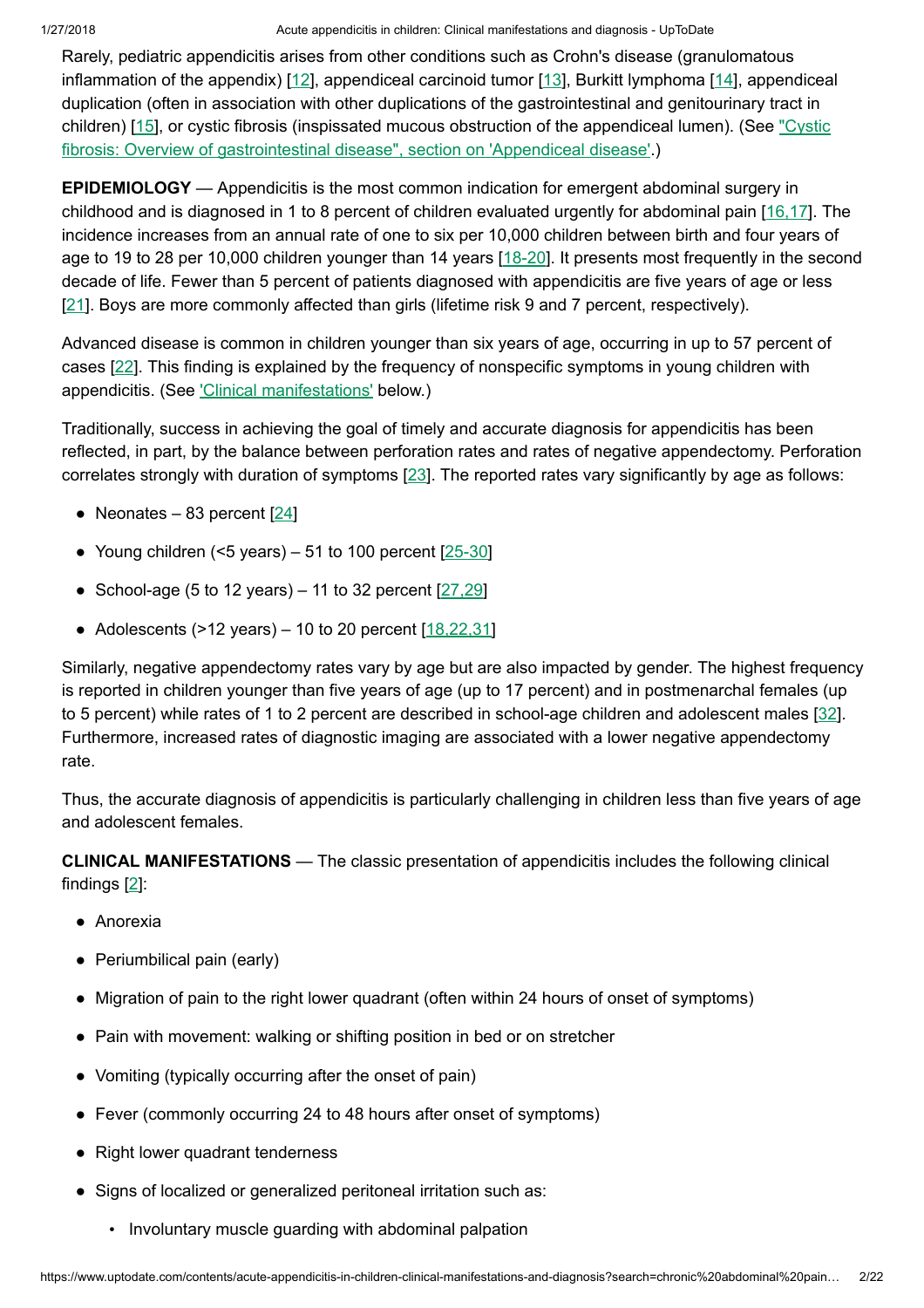Rarely, pediatric appendicitis arises from other conditions such as Crohn's disease (granulomatous inflammation of the appendix) [\[12](https://www.uptodate.com/contents/acute-appendicitis-in-children-clinical-manifestations-and-diagnosis/abstract/12)], appendiceal carcinoid tumor [\[13](https://www.uptodate.com/contents/acute-appendicitis-in-children-clinical-manifestations-and-diagnosis/abstract/13)], Burkitt lymphoma [\[14](https://www.uptodate.com/contents/acute-appendicitis-in-children-clinical-manifestations-and-diagnosis/abstract/14)], appendiceal duplication (often in association with other duplications of the gastrointestinal and genitourinary tract in children) [[15\]](https://www.uptodate.com/contents/acute-appendicitis-in-children-clinical-manifestations-and-diagnosis/abstract/15), or cystic fibrosis (inspissated mucous obstruction of the appendiceal lumen). (See "Cystic fibrosis: Overview of [gastrointestinal disease",](https://www.uptodate.com/contents/cystic-fibrosis-overview-of-gastrointestinal-disease?sectionName=Appendiceal+disease&anchor=H7111548&source=see_link#H7111548) section on 'Appendiceal disease'.)

EPIDEMIOLOGY — Appendicitis is the most common indication for emergent abdominal surgery in childhood and is diagnosed in 1 to 8 percent of children evaluated urgently for abdominal pain [\[16,17](https://www.uptodate.com/contents/acute-appendicitis-in-children-clinical-manifestations-and-diagnosis/abstract/16,17)]. The incidence increases from an annual rate of one to six per 10,000 children between birth and four years of age to 19 to 28 per 10,000 children younger than 14 years [[18-20\]](https://www.uptodate.com/contents/acute-appendicitis-in-children-clinical-manifestations-and-diagnosis/abstract/18-20). It presents most frequently in the second decade of life. Fewer than 5 percent of patients diagnosed with appendicitis are five years of age or less [[21\]](https://www.uptodate.com/contents/acute-appendicitis-in-children-clinical-manifestations-and-diagnosis/abstract/21). Boys are more commonly affected than girls (lifetime risk 9 and 7 percent, respectively).

Advanced disease is common in children younger than six years of age, occurring in up to 57 percent of cases [\[22](https://www.uptodate.com/contents/acute-appendicitis-in-children-clinical-manifestations-and-diagnosis/abstract/22)]. This finding is explained by the frequency of nonspecific symptoms in young children with appendicitis. (See ['Clinical manifestations'](https://www.uptodate.com/contents/acute-appendicitis-in-children-clinical-manifestations-and-diagnosis?search=chronic%20abdominal%20pain%20in%20children&source=search_result&selectedTitle=7~150&usage_type=default&display_rank=7#H5) below.)

Traditionally, success in achieving the goal of timely and accurate diagnosis for appendicitis has been reflected, in part, by the balance between perforation rates and rates of negative appendectomy. Perforation correlates strongly with duration of symptoms [\[23](https://www.uptodate.com/contents/acute-appendicitis-in-children-clinical-manifestations-and-diagnosis/abstract/23)]. The reported rates vary significantly by age as follows:

- Neonates 83 percent  $[24]$  $[24]$
- Young children  $(5 \text{ years}) 51$  to 100 percent  $[25-30]$  $[25-30]$
- School-age (5 to 12 years) 11 to 32 percent  $[27,29]$  $[27,29]$
- Adolescents  $(>12$  years) 10 to 20 percent  $[18, 22, 31]$

Similarly, negative appendectomy rates vary by age but are also impacted by gender. The highest frequency is reported in children younger than five years of age (up to 17 percent) and in postmenarchal females (up to 5 percent) while rates of 1 to 2 percent are described in school-age children and adolescent males [[32\]](https://www.uptodate.com/contents/acute-appendicitis-in-children-clinical-manifestations-and-diagnosis/abstract/32). Furthermore, increased rates of diagnostic imaging are associated with a lower negative appendectomy rate.

Thus, the accurate diagnosis of appendicitis is particularly challenging in children less than five years of age and adolescent females.

CLINICAL MANIFESTATIONS — The classic presentation of appendicitis includes the following clinical findings [\[2](https://www.uptodate.com/contents/acute-appendicitis-in-children-clinical-manifestations-and-diagnosis/abstract/2)]:

- Anorexia
- Periumbilical pain (early)
- Migration of pain to the right lower quadrant (often within 24 hours of onset of symptoms)
- Pain with movement: walking or shifting position in bed or on stretcher
- Vomiting (typically occurring after the onset of pain)
- Fever (commonly occurring 24 to 48 hours after onset of symptoms)
- Right lower quadrant tenderness
- Signs of localized or generalized peritoneal irritation such as:
	- Involuntary muscle guarding with abdominal palpation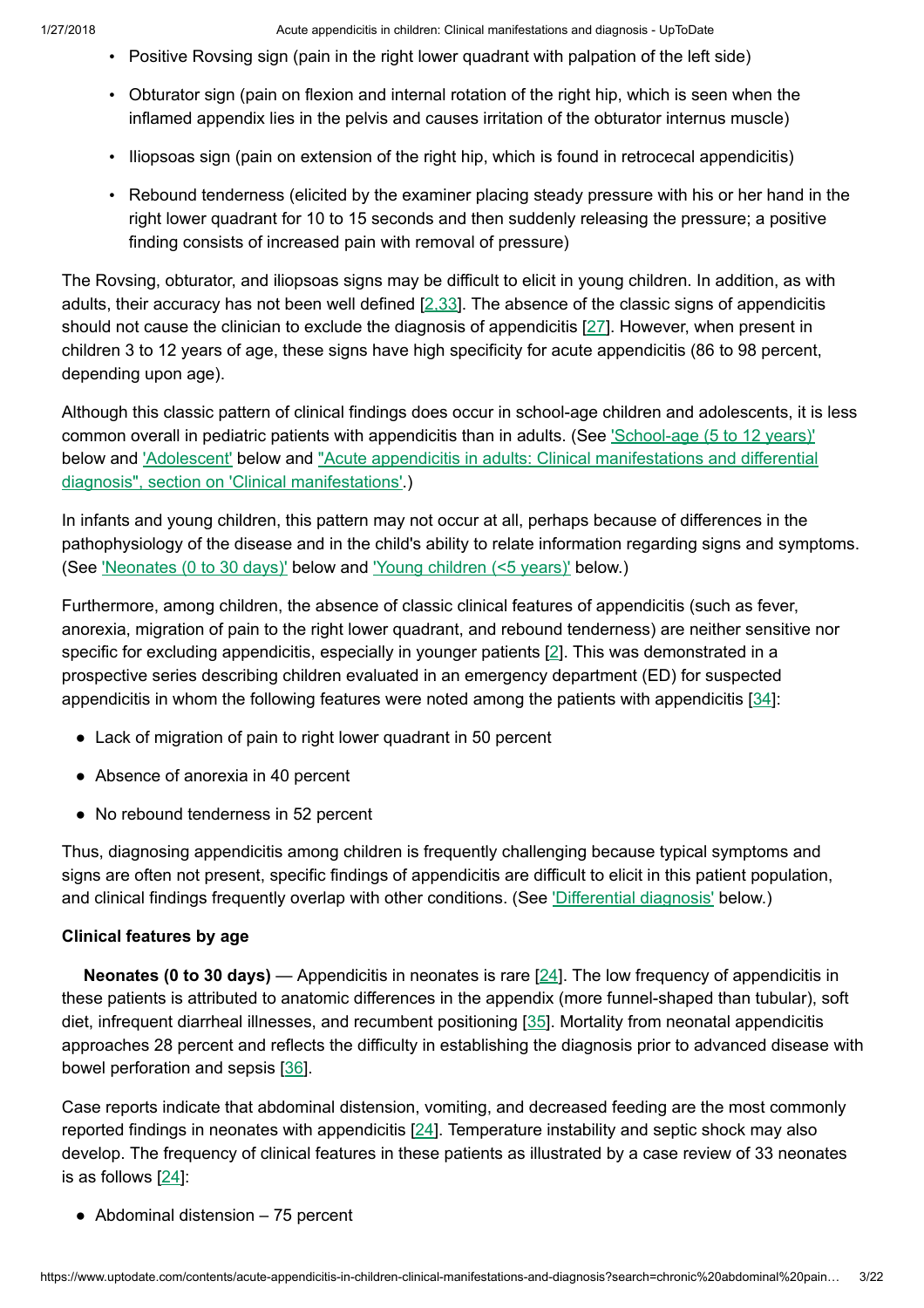- Positive Rovsing sign (pain in the right lower quadrant with palpation of the left side)
- Obturator sign (pain on flexion and internal rotation of the right hip, which is seen when the inflamed appendix lies in the pelvis and causes irritation of the obturator internus muscle)
- Iliopsoas sign (pain on extension of the right hip, which is found in retrocecal appendicitis)
- Rebound tenderness (elicited by the examiner placing steady pressure with his or her hand in the right lower quadrant for 10 to 15 seconds and then suddenly releasing the pressure; a positive finding consists of increased pain with removal of pressure)

The Rovsing, obturator, and iliopsoas signs may be difficult to elicit in young children. In addition, as with adults, their accuracy has not been well defined  $[2,33]$  $[2,33]$ . The absence of the classic signs of appendicitis should not cause the clinician to exclude the diagnosis of appendicitis [[27\]](https://www.uptodate.com/contents/acute-appendicitis-in-children-clinical-manifestations-and-diagnosis/abstract/27). However, when present in children 3 to 12 years of age, these signs have high specificity for acute appendicitis (86 to 98 percent, depending upon age).

Although this classic pattern of clinical findings does occur in school-age children and adolescents, it is less common overall in pediatric patients with appendicitis than in adults. (See ['School-age](https://www.uptodate.com/contents/acute-appendicitis-in-children-clinical-manifestations-and-diagnosis?search=chronic%20abdominal%20pain%20in%20children&source=search_result&selectedTitle=7~150&usage_type=default&display_rank=7#H599831244) (5 to 12 years)' below and ['Adolescent'](https://www.uptodate.com/contents/acute-appendicitis-in-children-clinical-manifestations-and-diagnosis?search=chronic%20abdominal%20pain%20in%20children&source=search_result&selectedTitle=7~150&usage_type=default&display_rank=7#H599831291) below and "Acute appendicitis in adults: Clinical manifestations and differential diagnosis", section on ['Clinical manifestations'.\)](https://www.uptodate.com/contents/acute-appendicitis-in-adults-clinical-manifestations-and-differential-diagnosis?sectionName=Clinical+manifestations&anchor=H5345945&source=see_link#H5345945)

In infants and young children, this pattern may not occur at all, perhaps because of differences in the pathophysiology of the disease and in the child's ability to relate information regarding signs and symptoms. (See ['Neonates](https://www.uptodate.com/contents/acute-appendicitis-in-children-clinical-manifestations-and-diagnosis?search=chronic%20abdominal%20pain%20in%20children&source=search_result&selectedTitle=7~150&usage_type=default&display_rank=7#H599831174) (0 to 30 days)' below and 'Young [children](https://www.uptodate.com/contents/acute-appendicitis-in-children-clinical-manifestations-and-diagnosis?search=chronic%20abdominal%20pain%20in%20children&source=search_result&selectedTitle=7~150&usage_type=default&display_rank=7#H599831209) (<5 years)' below.)

Furthermore, among children, the absence of classic clinical features of appendicitis (such as fever, anorexia, migration of pain to the right lower quadrant, and rebound tenderness) are neither sensitive nor specific for excluding appendicitis, especially in younger patients [[2\]](https://www.uptodate.com/contents/acute-appendicitis-in-children-clinical-manifestations-and-diagnosis/abstract/2). This was demonstrated in a prospective series describing children evaluated in an emergency department (ED) for suspected appendicitis in whom the following features were noted among the patients with appendicitis [[34\]](https://www.uptodate.com/contents/acute-appendicitis-in-children-clinical-manifestations-and-diagnosis/abstract/34):

- Lack of migration of pain to right lower quadrant in 50 percent
- Absence of anorexia in 40 percent
- No rebound tenderness in 52 percent

Thus, diagnosing appendicitis among children is frequently challenging because typical symptoms and signs are often not present, specific findings of appendicitis are difficult to elicit in this patient population, and clinical findings frequently overlap with other conditions. (See ['Differential diagnosis'](https://www.uptodate.com/contents/acute-appendicitis-in-children-clinical-manifestations-and-diagnosis?search=chronic%20abdominal%20pain%20in%20children&source=search_result&selectedTitle=7~150&usage_type=default&display_rank=7#H23) below.)

### Clinical features by age

**Neonates (0 to 30 days)** — Appendicitis in neonates is rare  $[24]$  $[24]$ . The low frequency of appendicitis in these patients is attributed to anatomic differences in the appendix (more funnel-shaped than tubular), soft diet, infrequent diarrheal illnesses, and recumbent positioning [[35\]](https://www.uptodate.com/contents/acute-appendicitis-in-children-clinical-manifestations-and-diagnosis/abstract/35). Mortality from neonatal appendicitis approaches 28 percent and reflects the difficulty in establishing the diagnosis prior to advanced disease with bowel perforation and sepsis [[36\]](https://www.uptodate.com/contents/acute-appendicitis-in-children-clinical-manifestations-and-diagnosis/abstract/36).

Case reports indicate that abdominal distension, vomiting, and decreased feeding are the most commonly reported findings in neonates with appendicitis [[24\]](https://www.uptodate.com/contents/acute-appendicitis-in-children-clinical-manifestations-and-diagnosis/abstract/24). Temperature instability and septic shock may also develop. The frequency of clinical features in these patients as illustrated by a case review of 33 neonates is as follows  $[24]$  $[24]$ :

 $\bullet$  Abdominal distension  $-75$  percent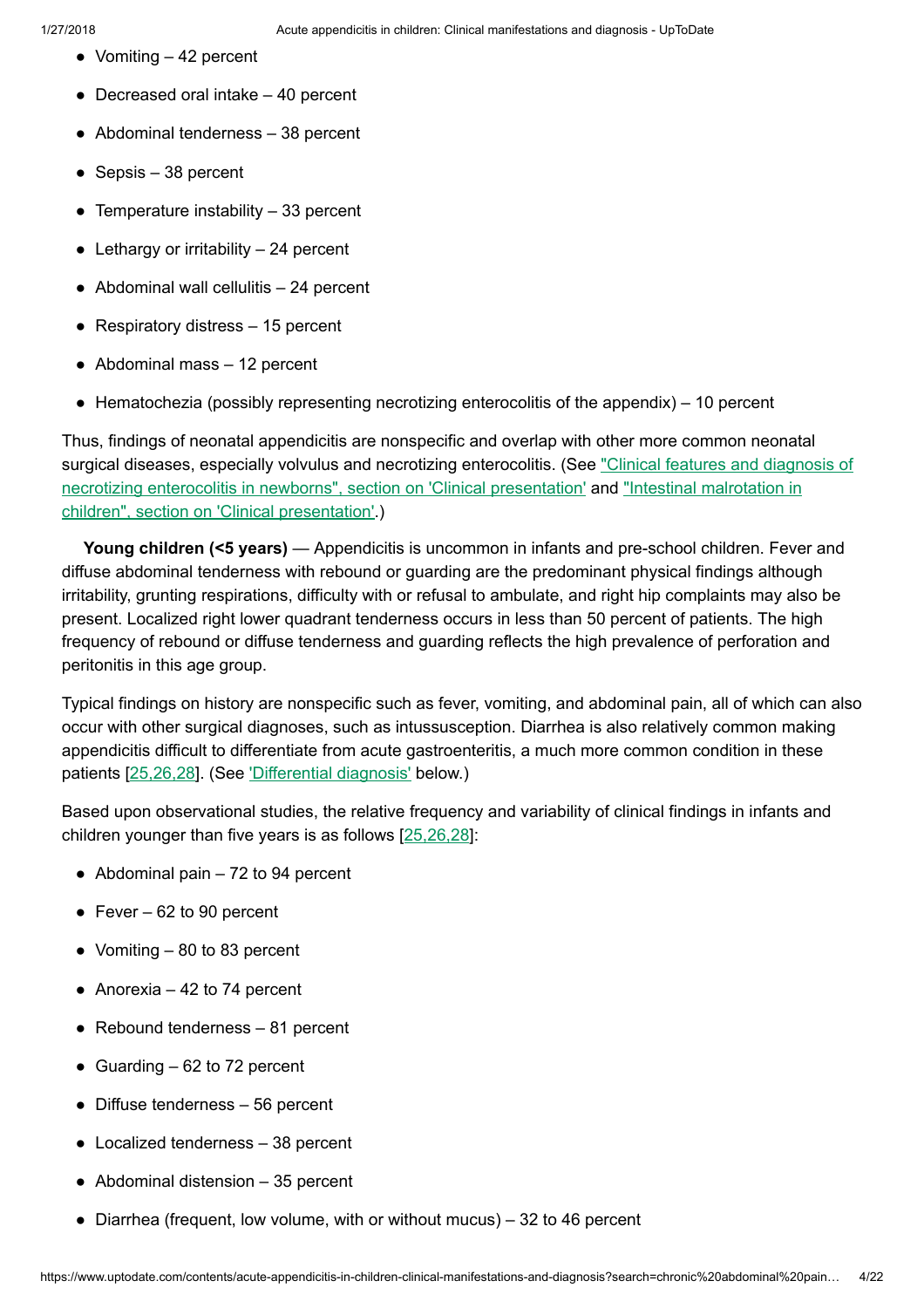- Vomiting  $-42$  percent
- $\bullet$  Decreased oral intake  $-40$  percent
- $\bullet$  Abdominal tenderness  $-38$  percent
- $\bullet$  Sepsis 38 percent
- Temperature instability  $-33$  percent
- $\bullet$  Lethargy or irritability  $-24$  percent
- $\bullet$  Abdominal wall cellulitis  $-24$  percent
- $\bullet$  Respiratory distress  $-15$  percent
- $\bullet$  Abdominal mass  $-12$  percent
- $\bullet$  Hematochezia (possibly representing necrotizing enterocolitis of the appendix) 10 percent

Thus, findings of neonatal appendicitis are nonspecific and overlap with other more common neonatal surgical diseases, especially volvulus and necrotizing enterocolitis. (See "Clinical features and diagnosis of necrotizing enterocolitis in newborns", section on 'Clinical presentation' and ["Intestinal malrotation](https://www.uptodate.com/contents/clinical-features-and-diagnosis-of-necrotizing-enterocolitis-in-newborns?sectionName=CLINICAL+PRESENTATION&anchor=H4&source=see_link#H4) in children", section on ['Clinical presentation'.\)](https://www.uptodate.com/contents/intestinal-malrotation-in-children?sectionName=CLINICAL+PRESENTATION&anchor=H6&source=see_link#H6)

Young children (<5 years) — Appendicitis is uncommon in infants and pre-school children. Fever and diffuse abdominal tenderness with rebound or guarding are the predominant physical findings although irritability, grunting respirations, difficulty with or refusal to ambulate, and right hip complaints may also be present. Localized right lower quadrant tenderness occurs in less than 50 percent of patients. The high frequency of rebound or diffuse tenderness and guarding reflects the high prevalence of perforation and peritonitis in this age group.

Typical findings on history are nonspecific such as fever, vomiting, and abdominal pain, all of which can also occur with other surgical diagnoses, such as intussusception. Diarrhea is also relatively common making appendicitis difficult to differentiate from acute gastroenteritis, a much more common condition in these patients [[25,26,28\]](https://www.uptodate.com/contents/acute-appendicitis-in-children-clinical-manifestations-and-diagnosis/abstract/25,26,28). (See ['Differential diagnosis'](https://www.uptodate.com/contents/acute-appendicitis-in-children-clinical-manifestations-and-diagnosis?search=chronic%20abdominal%20pain%20in%20children&source=search_result&selectedTitle=7~150&usage_type=default&display_rank=7#H23) below.)

Based upon observational studies, the relative frequency and variability of clinical findings in infants and children younger than five years is as follows [\[25,26,28](https://www.uptodate.com/contents/acute-appendicitis-in-children-clinical-manifestations-and-diagnosis/abstract/25,26,28)]:

- $\bullet$  Abdominal pain  $-72$  to 94 percent
- $\bullet$  Fever 62 to 90 percent
- Vomiting  $-80$  to 83 percent
- $\bullet$  Anorexia 42 to 74 percent
- $\bullet$  Rebound tenderness  $-81$  percent
- Guarding  $-62$  to 72 percent
- $\bullet$  Diffuse tenderness  $-56$  percent
- $\bullet$  Localized tenderness  $-38$  percent
- $\bullet$  Abdominal distension  $-35$  percent
- $\bullet$  Diarrhea (frequent, low volume, with or without mucus) 32 to 46 percent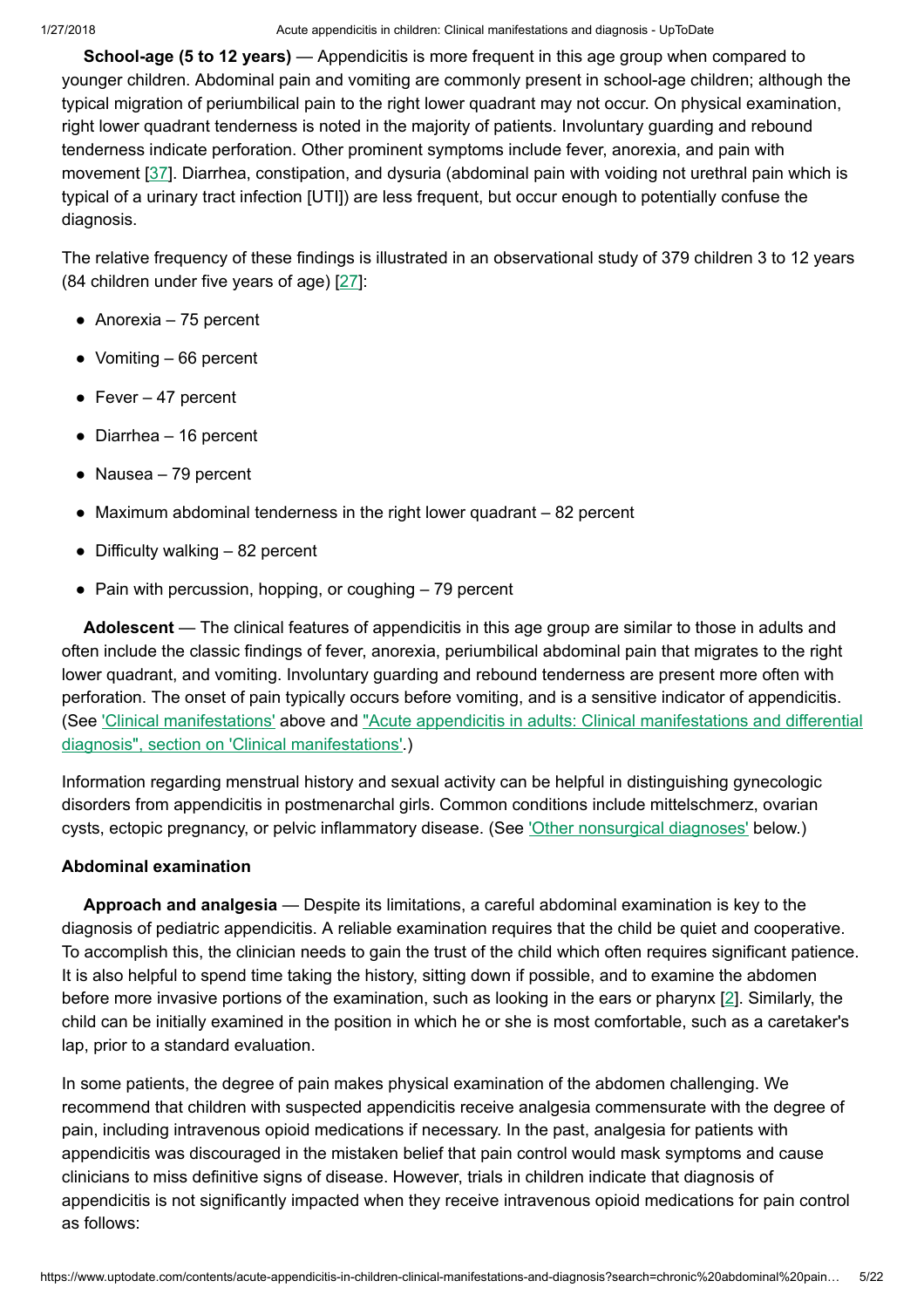School-age (5 to 12 years) — Appendicitis is more frequent in this age group when compared to younger children. Abdominal pain and vomiting are commonly present in school-age children; although the typical migration of periumbilical pain to the right lower quadrant may not occur. On physical examination, right lower quadrant tenderness is noted in the majority of patients. Involuntary guarding and rebound tenderness indicate perforation. Other prominent symptoms include fever, anorexia, and pain with movement [[37\]](https://www.uptodate.com/contents/acute-appendicitis-in-children-clinical-manifestations-and-diagnosis/abstract/37). Diarrhea, constipation, and dysuria (abdominal pain with voiding not urethral pain which is typical of a urinary tract infection [UTI]) are less frequent, but occur enough to potentially confuse the diagnosis.

The relative frequency of these findings is illustrated in an observational study of 379 children 3 to 12 years (84 children under five years of age) [[27\]](https://www.uptodate.com/contents/acute-appendicitis-in-children-clinical-manifestations-and-diagnosis/abstract/27):

- $\bullet$  Anorexia 75 percent
- $\bullet$  Vomiting  $-66$  percent
- Fever  $-47$  percent
- $\bullet$  Diarrhea 16 percent
- $\bullet$  Nausea 79 percent
- $\bullet$  Maximum abdominal tenderness in the right lower quadrant  $-82$  percent
- $\bullet$  Difficulty walking  $-82$  percent
- $\bullet$  Pain with percussion, hopping, or coughing  $-79$  percent

Adolescent — The clinical features of appendicitis in this age group are similar to those in adults and often include the classic findings of fever, anorexia, periumbilical abdominal pain that migrates to the right lower quadrant, and vomiting. Involuntary guarding and rebound tenderness are present more often with perforation. The onset of pain typically occurs before vomiting, and is a sensitive indicator of appendicitis. (See ['Clinical manifestations'](https://www.uptodate.com/contents/acute-appendicitis-in-children-clinical-manifestations-and-diagnosis?search=chronic%20abdominal%20pain%20in%20children&source=search_result&selectedTitle=7~150&usage_type=default&display_rank=7#H5) above and "Acute appendicitis in adults: Clinical manifestations and differential diagnosis", section on ['Clinical manifestations'.\)](https://www.uptodate.com/contents/acute-appendicitis-in-adults-clinical-manifestations-and-differential-diagnosis?sectionName=Clinical+manifestations&anchor=H5345945&source=see_link#H5345945)

Information regarding menstrual history and sexual activity can be helpful in distinguishing gynecologic disorders from appendicitis in postmenarchal girls. Common conditions include mittelschmerz, ovarian cysts, ectopic pregnancy, or pelvic inflammatory disease. (See 'Other [nonsurgical diagnoses'](https://www.uptodate.com/contents/acute-appendicitis-in-children-clinical-manifestations-and-diagnosis?search=chronic%20abdominal%20pain%20in%20children&source=search_result&selectedTitle=7~150&usage_type=default&display_rank=7#H26) below.)

# Abdominal examination

Approach and analgesia — Despite its limitations, a careful abdominal examination is key to the diagnosis of pediatric appendicitis. A reliable examination requires that the child be quiet and cooperative. To accomplish this, the clinician needs to gain the trust of the child which often requires significant patience. It is also helpful to spend time taking the history, sitting down if possible, and to examine the abdomen before more invasive portions of the examination, such as looking in the ears or pharynx [\[2](https://www.uptodate.com/contents/acute-appendicitis-in-children-clinical-manifestations-and-diagnosis/abstract/2)]. Similarly, the child can be initially examined in the position in which he or she is most comfortable, such as a caretaker's lap, prior to a standard evaluation.

In some patients, the degree of pain makes physical examination of the abdomen challenging. We recommend that children with suspected appendicitis receive analgesia commensurate with the degree of pain, including intravenous opioid medications if necessary. In the past, analgesia for patients with appendicitis was discouraged in the mistaken belief that pain control would mask symptoms and cause clinicians to miss definitive signs of disease. However, trials in children indicate that diagnosis of appendicitis is not significantly impacted when they receive intravenous opioid medications for pain control as follows: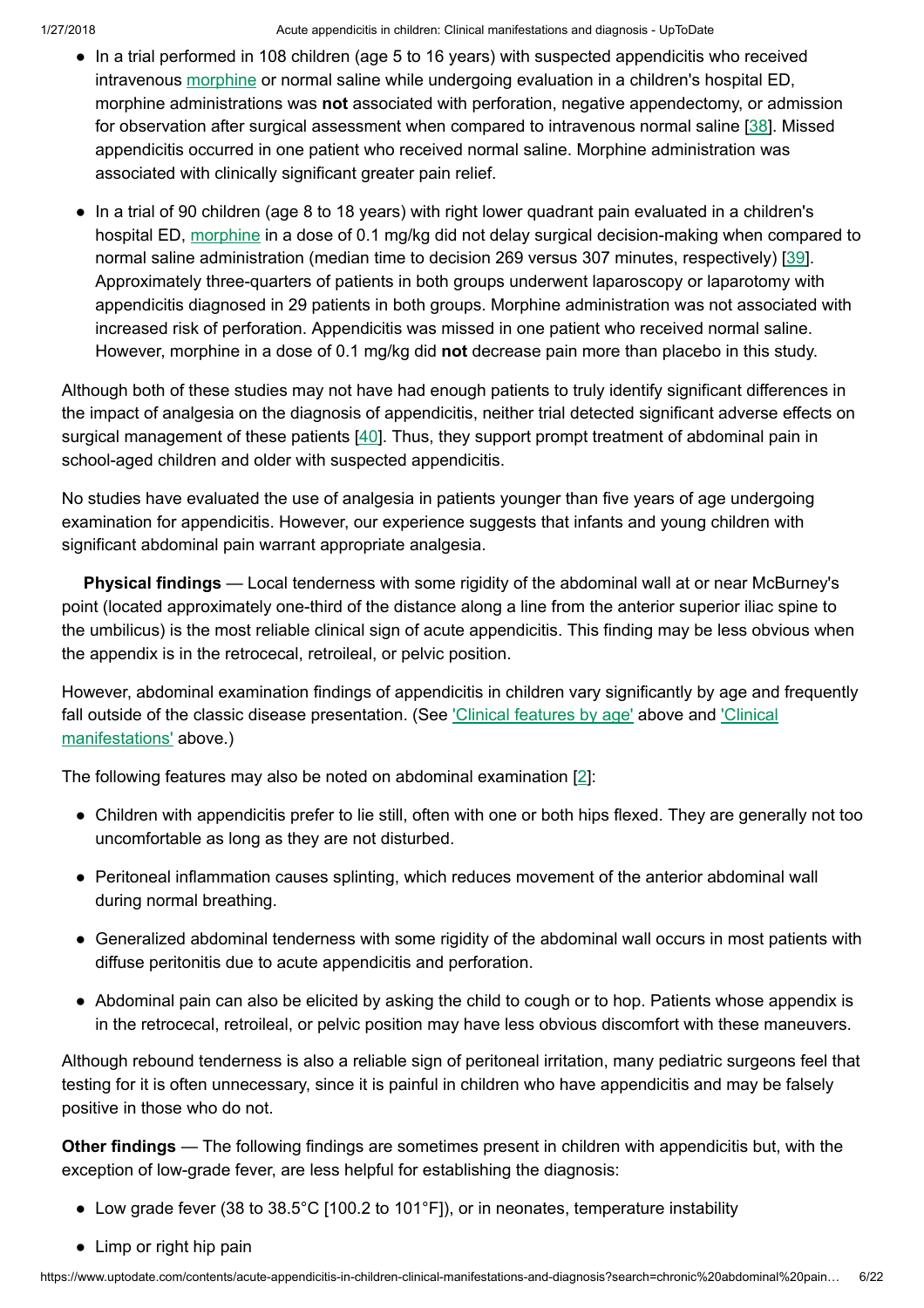- In a trial performed in 108 children (age 5 to 16 years) with suspected appendicitis who received intravenous [morphine](https://www.uptodate.com/contents/morphine-pediatric-drug-information?source=see_link) or normal saline while undergoing evaluation in a children's hospital ED, morphine administrations was not associated with perforation, negative appendectomy, or admission for observation after surgical assessment when compared to intravenous normal saline [\[38](https://www.uptodate.com/contents/acute-appendicitis-in-children-clinical-manifestations-and-diagnosis/abstract/38)]. Missed appendicitis occurred in one patient who received normal saline. Morphine administration was associated with clinically significant greater pain relief.
- In a trial of 90 children (age 8 to 18 years) with right lower quadrant pain evaluated in a children's hospital ED, [morphine](https://www.uptodate.com/contents/morphine-pediatric-drug-information?source=see_link) in a dose of 0.1 mg/kg did not delay surgical decision-making when compared to normal saline administration (median time to decision 269 versus 307 minutes, respectively) [\[39](https://www.uptodate.com/contents/acute-appendicitis-in-children-clinical-manifestations-and-diagnosis/abstract/39)]. Approximately three-quarters of patients in both groups underwent laparoscopy or laparotomy with appendicitis diagnosed in 29 patients in both groups. Morphine administration was not associated with increased risk of perforation. Appendicitis was missed in one patient who received normal saline. However, morphine in a dose of 0.1 mg/kg did not decrease pain more than placebo in this study.

Although both of these studies may not have had enough patients to truly identify significant differences in the impact of analgesia on the diagnosis of appendicitis, neither trial detected significant adverse effects on surgical management of these patients [[40\]](https://www.uptodate.com/contents/acute-appendicitis-in-children-clinical-manifestations-and-diagnosis/abstract/40). Thus, they support prompt treatment of abdominal pain in school-aged children and older with suspected appendicitis.

No studies have evaluated the use of analgesia in patients younger than five years of age undergoing examination for appendicitis. However, our experience suggests that infants and young children with significant abdominal pain warrant appropriate analgesia.

Physical findings — Local tenderness with some rigidity of the abdominal wall at or near McBurney's point (located approximately one-third of the distance along a line from the anterior superior iliac spine to the umbilicus) is the most reliable clinical sign of acute appendicitis. This finding may be less obvious when the appendix is in the retrocecal, retroileal, or pelvic position.

However, abdominal examination findings of appendicitis in children vary significantly by age and frequently fall outside of the classic disease presentation. (See ['Clinical features](https://www.uptodate.com/contents/acute-appendicitis-in-children-clinical-manifestations-and-diagnosis?search=chronic%20abdominal%20pain%20in%20children&source=search_result&selectedTitle=7~150&usage_type=default&display_rank=7#H5) by age' above and 'Clinical manifestations' above.)

The following features may also be noted on abdominal examination [[2\]](https://www.uptodate.com/contents/acute-appendicitis-in-children-clinical-manifestations-and-diagnosis/abstract/2):

- Children with appendicitis prefer to lie still, often with one or both hips flexed. They are generally not too uncomfortable as long as they are not disturbed.
- Peritoneal inflammation causes splinting, which reduces movement of the anterior abdominal wall during normal breathing.
- Generalized abdominal tenderness with some rigidity of the abdominal wall occurs in most patients with diffuse peritonitis due to acute appendicitis and perforation.
- Abdominal pain can also be elicited by asking the child to cough or to hop. Patients whose appendix is in the retrocecal, retroileal, or pelvic position may have less obvious discomfort with these maneuvers.

Although rebound tenderness is also a reliable sign of peritoneal irritation, many pediatric surgeons feel that testing for it is often unnecessary, since it is painful in children who have appendicitis and may be falsely positive in those who do not.

Other findings — The following findings are sometimes present in children with appendicitis but, with the exception of low-grade fever, are less helpful for establishing the diagnosis:

- Low grade fever (38 to 38.5°C [100.2 to 101°F]), or in neonates, temperature instability
- Limp or right hip pain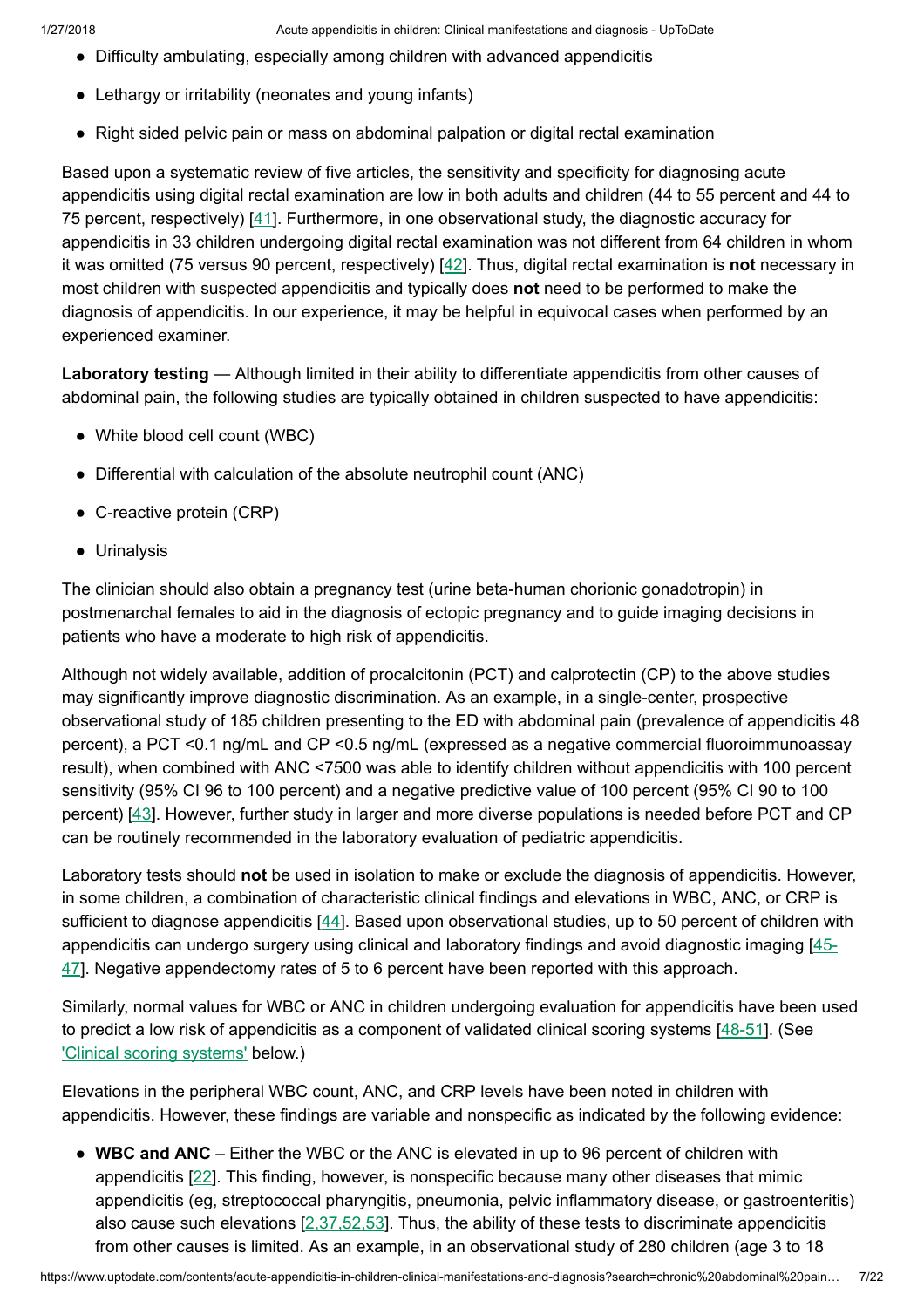- Difficulty ambulating, especially among children with advanced appendicitis
- Lethargy or irritability (neonates and young infants)
- Right sided pelvic pain or mass on abdominal palpation or digital rectal examination

Based upon a systematic review of five articles, the sensitivity and specificity for diagnosing acute appendicitis using digital rectal examination are low in both adults and children (44 to 55 percent and 44 to 75 percent, respectively) [\[41](https://www.uptodate.com/contents/acute-appendicitis-in-children-clinical-manifestations-and-diagnosis/abstract/41)]. Furthermore, in one observational study, the diagnostic accuracy for appendicitis in 33 children undergoing digital rectal examination was not different from 64 children in whom it was omitted (75 versus 90 percent, respectively) [\[42](https://www.uptodate.com/contents/acute-appendicitis-in-children-clinical-manifestations-and-diagnosis/abstract/42)]. Thus, digital rectal examination is not necessary in most children with suspected appendicitis and typically does not need to be performed to make the diagnosis of appendicitis. In our experience, it may be helpful in equivocal cases when performed by an experienced examiner.

Laboratory testing — Although limited in their ability to differentiate appendicitis from other causes of abdominal pain, the following studies are typically obtained in children suspected to have appendicitis:

- White blood cell count (WBC)
- Differential with calculation of the absolute neutrophil count (ANC)
- C-reactive protein (CRP)
- Urinalysis

The clinician should also obtain a pregnancy test (urine beta-human chorionic gonadotropin) in postmenarchal females to aid in the diagnosis of ectopic pregnancy and to guide imaging decisions in patients who have a moderate to high risk of appendicitis.

Although not widely available, addition of procalcitonin (PCT) and calprotectin (CP) to the above studies may significantly improve diagnostic discrimination. As an example, in a single-center, prospective observational study of 185 children presenting to the ED with abdominal pain (prevalence of appendicitis 48 percent), a PCT <0.1 ng/mL and CP <0.5 ng/mL (expressed as a negative commercial fluoroimmunoassay result), when combined with ANC <7500 was able to identify children without appendicitis with 100 percent sensitivity (95% CI 96 to 100 percent) and a negative predictive value of 100 percent (95% CI 90 to 100 percent) [\[43](https://www.uptodate.com/contents/acute-appendicitis-in-children-clinical-manifestations-and-diagnosis/abstract/43)]. However, further study in larger and more diverse populations is needed before PCT and CP can be routinely recommended in the laboratory evaluation of pediatric appendicitis.

Laboratory tests should not be used in isolation to make or exclude the diagnosis of appendicitis. However, in some children, a combination of characteristic clinical findings and elevations in WBC, ANC, or CRP is sufficient to diagnose appendicitis [\[44](https://www.uptodate.com/contents/acute-appendicitis-in-children-clinical-manifestations-and-diagnosis/abstract/44)]. Based upon observational studies, up to 50 percent of children with appendicitis can undergo surgery using clinical and laboratory findings and avoid diagnostic imaging [4547]. Negative [appendectomy](https://www.uptodate.com/contents/acute-appendicitis-in-children-clinical-manifestations-and-diagnosis/abstract/45-47) rates of 5 to 6 percent have been reported with this approach.

Similarly, normal values for WBC or ANC in children undergoing evaluation for appendicitis have been used to predict a low risk of appendicitis as a component of validated clinical scoring systems [\[48-51](https://www.uptodate.com/contents/acute-appendicitis-in-children-clinical-manifestations-and-diagnosis/abstract/48-51)]. (See ['Clinical scoring](https://www.uptodate.com/contents/acute-appendicitis-in-children-clinical-manifestations-and-diagnosis?search=chronic%20abdominal%20pain%20in%20children&source=search_result&selectedTitle=7~150&usage_type=default&display_rank=7#H6659516) systems' below.)

Elevations in the peripheral WBC count, ANC, and CRP levels have been noted in children with appendicitis. However, these findings are variable and nonspecific as indicated by the following evidence:

• WBC and ANC – Either the WBC or the ANC is elevated in up to 96 percent of children with appendicitis [\[22](https://www.uptodate.com/contents/acute-appendicitis-in-children-clinical-manifestations-and-diagnosis/abstract/22)]. This finding, however, is nonspecific because many other diseases that mimic appendicitis (eg, streptococcal pharyngitis, pneumonia, pelvic inflammatory disease, or gastroenteritis) also cause such elevations  $[2,37,52,53]$  $[2,37,52,53]$ . Thus, the ability of these tests to discriminate appendicitis from other causes is limited. As an example, in an observational study of 280 children (age 3 to 18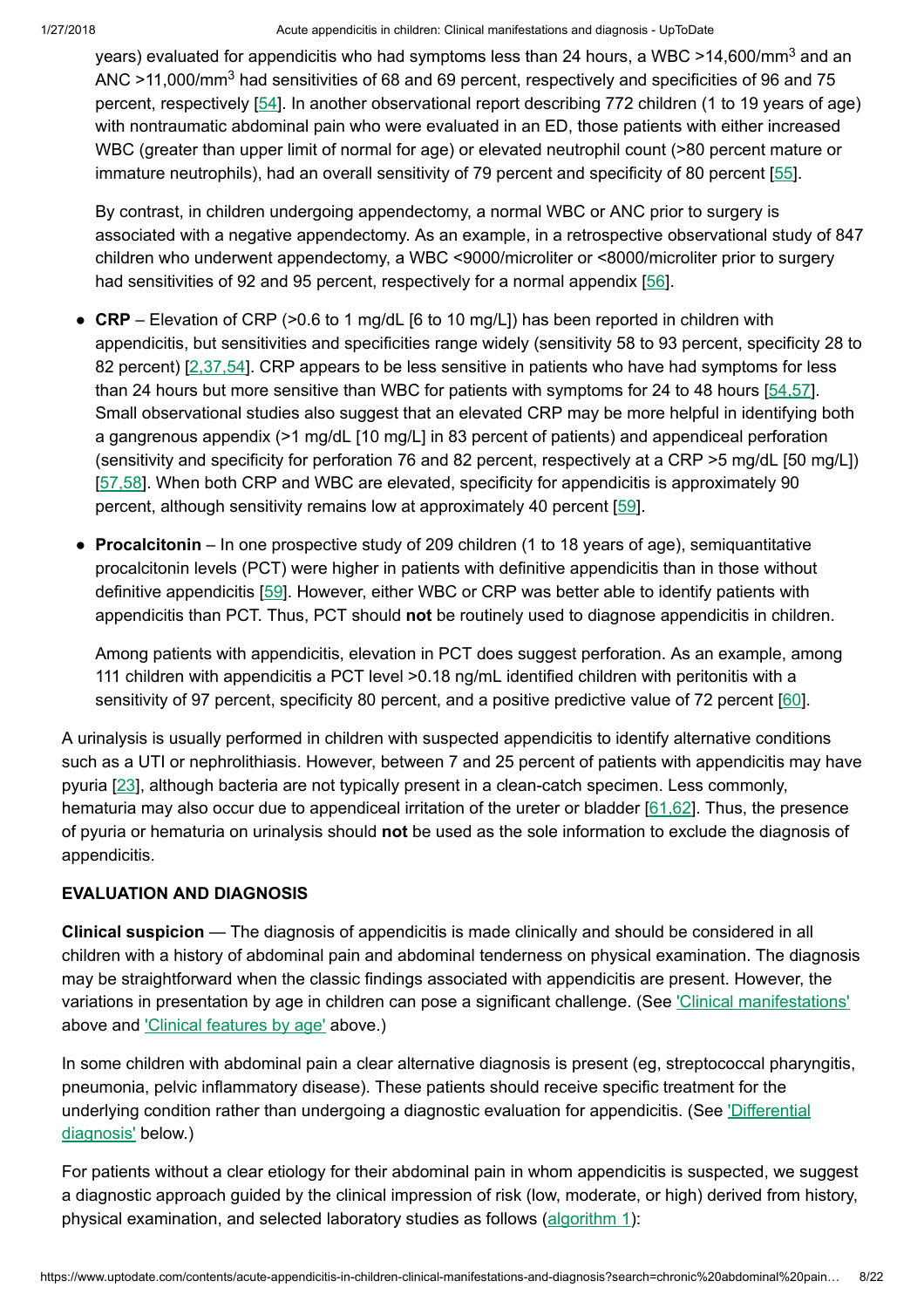years) evaluated for appendicitis who had symptoms less than 24 hours, a WBC >14,600/mm<sup>3</sup> and an ANC >11,000/mm<sup>3</sup> had sensitivities of 68 and 69 percent, respectively and specificities of 96 and 75 percent, respectively [\[54](https://www.uptodate.com/contents/acute-appendicitis-in-children-clinical-manifestations-and-diagnosis/abstract/54)]. In another observational report describing 772 children (1 to 19 years of age) with nontraumatic abdominal pain who were evaluated in an ED, those patients with either increased WBC (greater than upper limit of normal for age) or elevated neutrophil count (>80 percent mature or immature neutrophils), had an overall sensitivity of 79 percent and specificity of 80 percent [[55\]](https://www.uptodate.com/contents/acute-appendicitis-in-children-clinical-manifestations-and-diagnosis/abstract/55).

By contrast, in children undergoing appendectomy, a normal WBC or ANC prior to surgery is associated with a negative appendectomy. As an example, in a retrospective observational study of 847 children who underwent appendectomy, a WBC <9000/microliter or <8000/microliter prior to surgery had sensitivities of 92 and 95 percent, respectively for a normal appendix [\[56](https://www.uptodate.com/contents/acute-appendicitis-in-children-clinical-manifestations-and-diagnosis/abstract/56)].

- CRP Elevation of CRP (>0.6 to 1 mg/dL [6 to 10 mg/L]) has been reported in children with appendicitis, but sensitivities and specificities range widely (sensitivity 58 to 93 percent, specificity 28 to 82 percent) [\[2,37,54](https://www.uptodate.com/contents/acute-appendicitis-in-children-clinical-manifestations-and-diagnosis/abstract/2,37,54)]. CRP appears to be less sensitive in patients who have had symptoms for less than 24 hours but more sensitive than WBC for patients with symptoms for 24 to 48 hours [\[54,57](https://www.uptodate.com/contents/acute-appendicitis-in-children-clinical-manifestations-and-diagnosis/abstract/54,57)]. Small observational studies also suggest that an elevated CRP may be more helpful in identifying both a gangrenous appendix (>1 mg/dL [10 mg/L] in 83 percent of patients) and appendiceal perforation (sensitivity and specificity for perforation 76 and 82 percent, respectively at a CRP >5 mg/dL [50 mg/L]) [\[57,58](https://www.uptodate.com/contents/acute-appendicitis-in-children-clinical-manifestations-and-diagnosis/abstract/57,58)]. When both CRP and WBC are elevated, specificity for appendicitis is approximately 90 percent, although sensitivity remains low at approximately 40 percent [\[59](https://www.uptodate.com/contents/acute-appendicitis-in-children-clinical-manifestations-and-diagnosis/abstract/59)].
- Procalcitonin In one prospective study of 209 children (1 to 18 years of age), semiquantitative procalcitonin levels (PCT) were higher in patients with definitive appendicitis than in those without definitive appendicitis [\[59](https://www.uptodate.com/contents/acute-appendicitis-in-children-clinical-manifestations-and-diagnosis/abstract/59)]. However, either WBC or CRP was better able to identify patients with appendicitis than PCT. Thus, PCT should not be routinely used to diagnose appendicitis in children.

Among patients with appendicitis, elevation in PCT does suggest perforation. As an example, among 111 children with appendicitis a PCT level > 0.18 ng/mL identified children with peritonitis with a sensitivity of 97 percent, specificity 80 percent, and a positive predictive value of 72 percent [\[60](https://www.uptodate.com/contents/acute-appendicitis-in-children-clinical-manifestations-and-diagnosis/abstract/60)].

A urinalysis is usually performed in children with suspected appendicitis to identify alternative conditions such as a UTI or nephrolithiasis. However, between 7 and 25 percent of patients with appendicitis may have pyuria [[23\]](https://www.uptodate.com/contents/acute-appendicitis-in-children-clinical-manifestations-and-diagnosis/abstract/23), although bacteria are not typically present in a clean-catch specimen. Less commonly, hematuria may also occur due to appendiceal irritation of the ureter or bladder [\[61,62](https://www.uptodate.com/contents/acute-appendicitis-in-children-clinical-manifestations-and-diagnosis/abstract/61,62)]. Thus, the presence of pyuria or hematuria on urinalysis should not be used as the sole information to exclude the diagnosis of appendicitis.

# EVALUATION AND DIAGNOSIS

Clinical suspicion — The diagnosis of appendicitis is made clinically and should be considered in all children with a history of abdominal pain and abdominal tenderness on physical examination. The diagnosis may be straightforward when the classic findings associated with appendicitis are present. However, the variations in presentation by age in children can pose a significant challenge. (See ['Clinical manifestations'](https://www.uptodate.com/contents/acute-appendicitis-in-children-clinical-manifestations-and-diagnosis?search=chronic%20abdominal%20pain%20in%20children&source=search_result&selectedTitle=7~150&usage_type=default&display_rank=7#H5) above and ['Clinical features](https://www.uptodate.com/contents/acute-appendicitis-in-children-clinical-manifestations-and-diagnosis?search=chronic%20abdominal%20pain%20in%20children&source=search_result&selectedTitle=7~150&usage_type=default&display_rank=7#H599831092) by age' above.)

In some children with abdominal pain a clear alternative diagnosis is present (eg, streptococcal pharyngitis, pneumonia, pelvic inflammatory disease). These patients should receive specific treatment for the underlying condition rather than undergoing a diagnostic evaluation for [appendicitis.](https://www.uptodate.com/contents/acute-appendicitis-in-children-clinical-manifestations-and-diagnosis?search=chronic%20abdominal%20pain%20in%20children&source=search_result&selectedTitle=7~150&usage_type=default&display_rank=7#H23) (See 'Differential diagnosis' below.)

For patients without a clear etiology for their abdominal pain in whom appendicitis is suspected, we suggest a diagnostic approach guided by the clinical impression of risk (low, moderate, or high) derived from history, physical examination, and selected laboratory studies as follows [\(algorithm](https://www.uptodate.com/contents/image?imageKey=EM%2F96236&topicKey=EM%2F6479&search=chronic+abdominal+pain+in+children&rank=7%7E150&source=see_link) 1):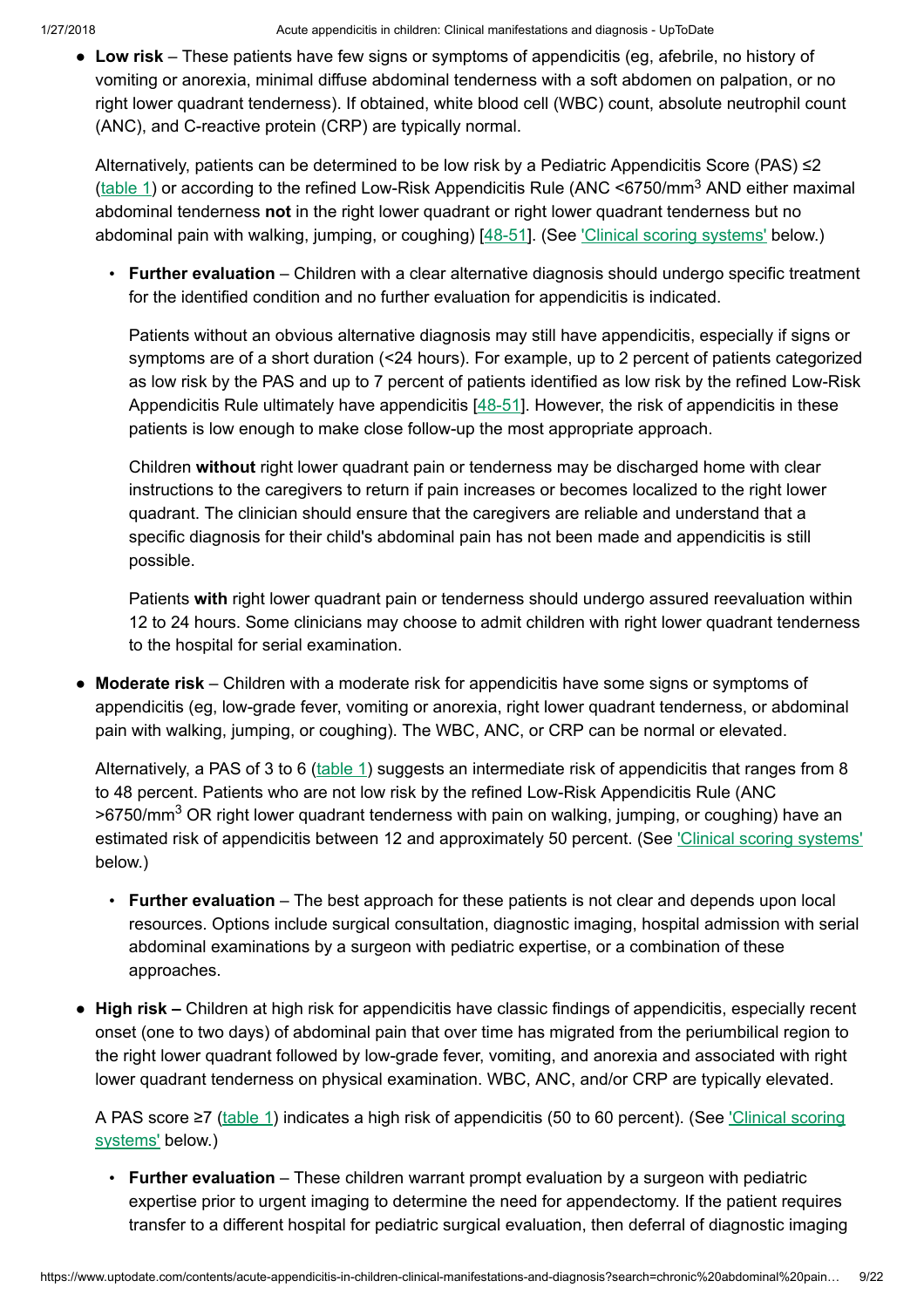• Low risk – These patients have few signs or symptoms of appendicitis (eg, afebrile, no history of vomiting or anorexia, minimal diffuse abdominal tenderness with a soft abdomen on palpation, or no right lower quadrant tenderness). If obtained, white blood cell (WBC) count, absolute neutrophil count (ANC), and C-reactive protein (CRP) are typically normal.

Alternatively, patients can be determined to be low risk by a Pediatric Appendicitis Score (PAS) ≤2  $(\text{table 1})$  or according to the refined Low-Risk Appendicitis Rule (ANC <6750/mm<sup>3</sup> AND either maximal abdominal tenderness not in the right lower quadrant or right lower quadrant tenderness but no abdominal pain with walking, jumping, or coughing) [[48-51\]](https://www.uptodate.com/contents/acute-appendicitis-in-children-clinical-manifestations-and-diagnosis/abstract/48-51). (See ['Clinical scoring](https://www.uptodate.com/contents/acute-appendicitis-in-children-clinical-manifestations-and-diagnosis?search=chronic%20abdominal%20pain%20in%20children&source=search_result&selectedTitle=7~150&usage_type=default&display_rank=7#H6659516) systems' below.)

• Further evaluation – Children with a clear alternative diagnosis should undergo specific treatment for the identified condition and no further evaluation for appendicitis is indicated.

Patients without an obvious alternative diagnosis may still have appendicitis, especially if signs or symptoms are of a short duration (<24 hours). For example, up to 2 percent of patients categorized as low risk by the PAS and up to 7 percent of patients identified as low risk by the refined Low-Risk Appendicitis Rule ultimately have appendicitis [\[48-51](https://www.uptodate.com/contents/acute-appendicitis-in-children-clinical-manifestations-and-diagnosis/abstract/48-51)]. However, the risk of appendicitis in these patients is low enough to make close follow-up the most appropriate approach.

Children without right lower quadrant pain or tenderness may be discharged home with clear instructions to the caregivers to return if pain increases or becomes localized to the right lower quadrant. The clinician should ensure that the caregivers are reliable and understand that a specific diagnosis for their child's abdominal pain has not been made and appendicitis is still possible.

Patients with right lower quadrant pain or tenderness should undergo assured reevaluation within 12 to 24 hours. Some clinicians may choose to admit children with right lower quadrant tenderness to the hospital for serial examination.

• Moderate risk – Children with a moderate risk for appendicitis have some signs or symptoms of appendicitis (eg, low-grade fever, vomiting or anorexia, right lower quadrant tenderness, or abdominal pain with walking, jumping, or coughing). The WBC, ANC, or CRP can be normal or elevated.

Alternatively, a PAS of 3 to 6 ([table](https://www.uptodate.com/contents/image?imageKey=EM%2F62136&topicKey=EM%2F6479&search=chronic+abdominal+pain+in+children&rank=7%7E150&source=see_link) 1) suggests an intermediate risk of appendicitis that ranges from 8 to 48 percent. Patients who are not low risk by the refined Low-Risk Appendicitis Rule (ANC >6750/mm<sup>3</sup> OR right lower quadrant tenderness with pain on walking, jumping, or coughing) have an estimated risk of appendicitis between 12 and approximately 50 percent. (See ['Clinical scoring](https://www.uptodate.com/contents/acute-appendicitis-in-children-clinical-manifestations-and-diagnosis?search=chronic%20abdominal%20pain%20in%20children&source=search_result&selectedTitle=7~150&usage_type=default&display_rank=7#H6659516) systems' below.)

- Further evaluation The best approach for these patients is not clear and depends upon local resources. Options include surgical consultation, diagnostic imaging, hospital admission with serial abdominal examinations by a surgeon with pediatric expertise, or a combination of these approaches.
- High risk Children at high risk for appendicitis have classic findings of appendicitis, especially recent onset (one to two days) of abdominal pain that over time has migrated from the periumbilical region to the right lower quadrant followed by low-grade fever, vomiting, and anorexia and associated with right lower quadrant tenderness on physical examination. WBC, ANC, and/or CRP are typically elevated.

A PAS score ≥7 [\(table](https://www.uptodate.com/contents/image?imageKey=EM%2F62136&topicKey=EM%2F6479&search=chronic+abdominal+pain+in+children&rank=7%7E150&source=see_link) 1) indicates a high risk of appendicitis (50 to 60 percent). (See ['Clinical scoring](https://www.uptodate.com/contents/acute-appendicitis-in-children-clinical-manifestations-and-diagnosis?search=chronic%20abdominal%20pain%20in%20children&source=search_result&selectedTitle=7~150&usage_type=default&display_rank=7#H6659516) systems' below.)

• Further evaluation – These children warrant prompt evaluation by a surgeon with pediatric expertise prior to urgent imaging to determine the need for appendectomy. If the patient requires transfer to a different hospital for pediatric surgical evaluation, then deferral of diagnostic imaging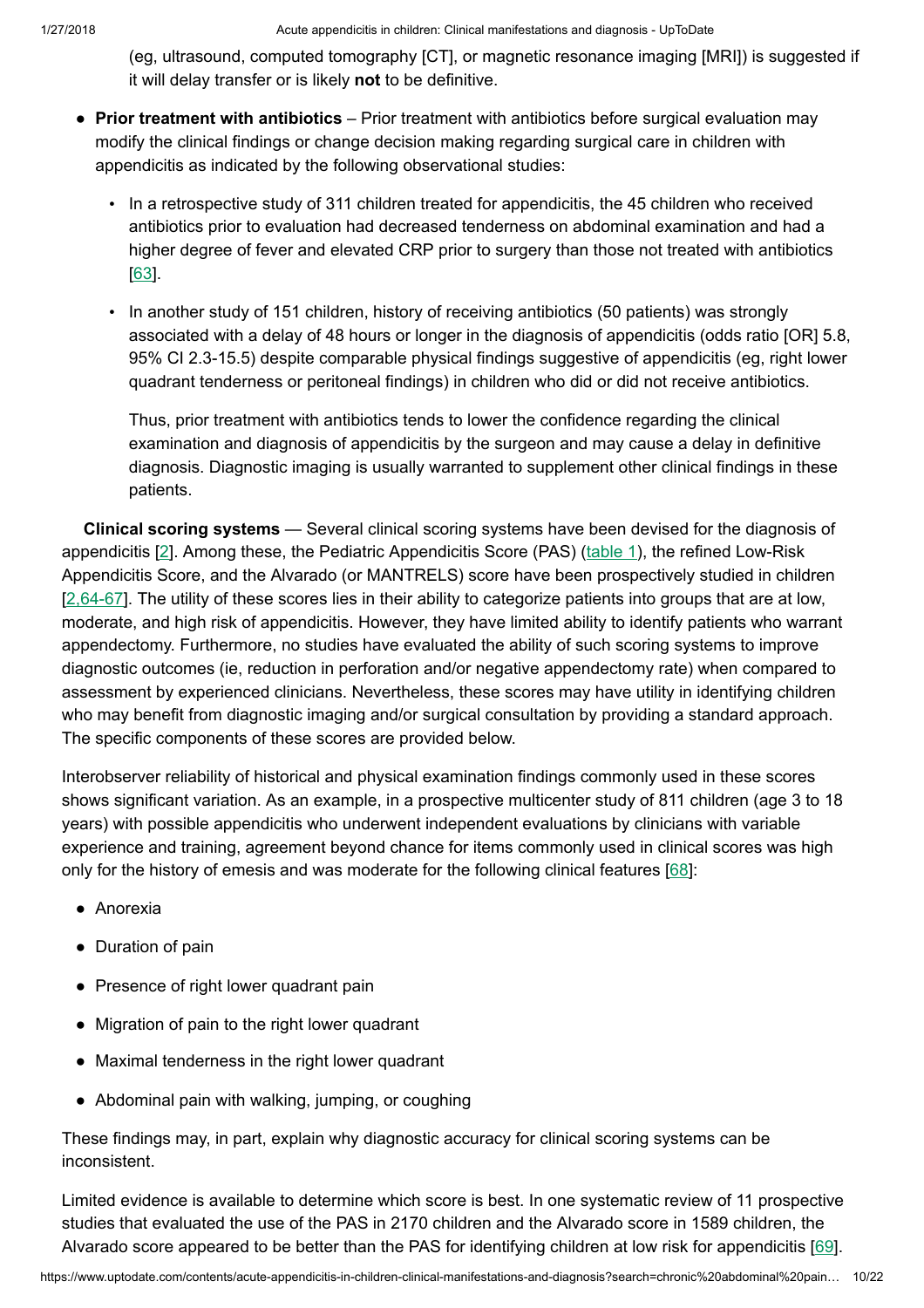(eg, ultrasound, computed tomography [CT], or magnetic resonance imaging [MRI]) is suggested if it will delay transfer or is likely not to be definitive.

- Prior treatment with antibiotics Prior treatment with antibiotics before surgical evaluation may modify the clinical findings or change decision making regarding surgical care in children with appendicitis as indicated by the following observational studies:
	- In a retrospective study of 311 children treated for appendicitis, the 45 children who received antibiotics prior to evaluation had decreased tenderness on abdominal examination and had a higher degree of fever and elevated CRP prior to surgery than those not treated with antibiotics [\[63](https://www.uptodate.com/contents/acute-appendicitis-in-children-clinical-manifestations-and-diagnosis/abstract/63)].
	- In another study of 151 children, history of receiving antibiotics (50 patients) was strongly associated with a delay of 48 hours or longer in the diagnosis of appendicitis (odds ratio [OR] 5.8, 95% CI 2.3-15.5) despite comparable physical findings suggestive of appendicitis (eg, right lower quadrant tenderness or peritoneal findings) in children who did or did not receive antibiotics.

Thus, prior treatment with antibiotics tends to lower the confidence regarding the clinical examination and diagnosis of appendicitis by the surgeon and may cause a delay in definitive diagnosis. Diagnostic imaging is usually warranted to supplement other clinical findings in these patients.

Clinical scoring systems - Several clinical scoring systems have been devised for the diagnosis of appendicitis [[2\]](https://www.uptodate.com/contents/acute-appendicitis-in-children-clinical-manifestations-and-diagnosis/abstract/2). Among these, the Pediatric Appendicitis Score (PAS) ([table](https://www.uptodate.com/contents/image?imageKey=EM%2F62136&topicKey=EM%2F6479&search=chronic+abdominal+pain+in+children&rank=7%7E150&source=see_link) 1), the refined Low-Risk Appendicitis Score, and the Alvarado (or MANTRELS) score have been prospectively studied in children [[2,64-67](https://www.uptodate.com/contents/acute-appendicitis-in-children-clinical-manifestations-and-diagnosis/abstract/2,64-67)]. The utility of these scores lies in their ability to categorize patients into groups that are at low, moderate, and high risk of appendicitis. However, they have limited ability to identify patients who warrant appendectomy. Furthermore, no studies have evaluated the ability of such scoring systems to improve diagnostic outcomes (ie, reduction in perforation and/or negative appendectomy rate) when compared to assessment by experienced clinicians. Nevertheless, these scores may have utility in identifying children who may benefit from diagnostic imaging and/or surgical consultation by providing a standard approach. The specific components of these scores are provided below.

Interobserver reliability of historical and physical examination findings commonly used in these scores shows significant variation. As an example, in a prospective multicenter study of 811 children (age 3 to 18 years) with possible appendicitis who underwent independent evaluations by clinicians with variable experience and training, agreement beyond chance for items commonly used in clinical scores was high only for the history of emesis and was moderate for the following clinical features  $[68]$  $[68]$ :

- Anorexia
- Duration of pain
- Presence of right lower quadrant pain
- Migration of pain to the right lower quadrant
- Maximal tenderness in the right lower quadrant
- Abdominal pain with walking, jumping, or coughing

These findings may, in part, explain why diagnostic accuracy for clinical scoring systems can be inconsistent.

Limited evidence is available to determine which score is best. In one systematic review of 11 prospective studies that evaluated the use of the PAS in 2170 children and the Alvarado score in 1589 children, the Alvarado score appeared to be better than the PAS for identifying children at low risk for appendicitis [[69\]](https://www.uptodate.com/contents/acute-appendicitis-in-children-clinical-manifestations-and-diagnosis/abstract/69).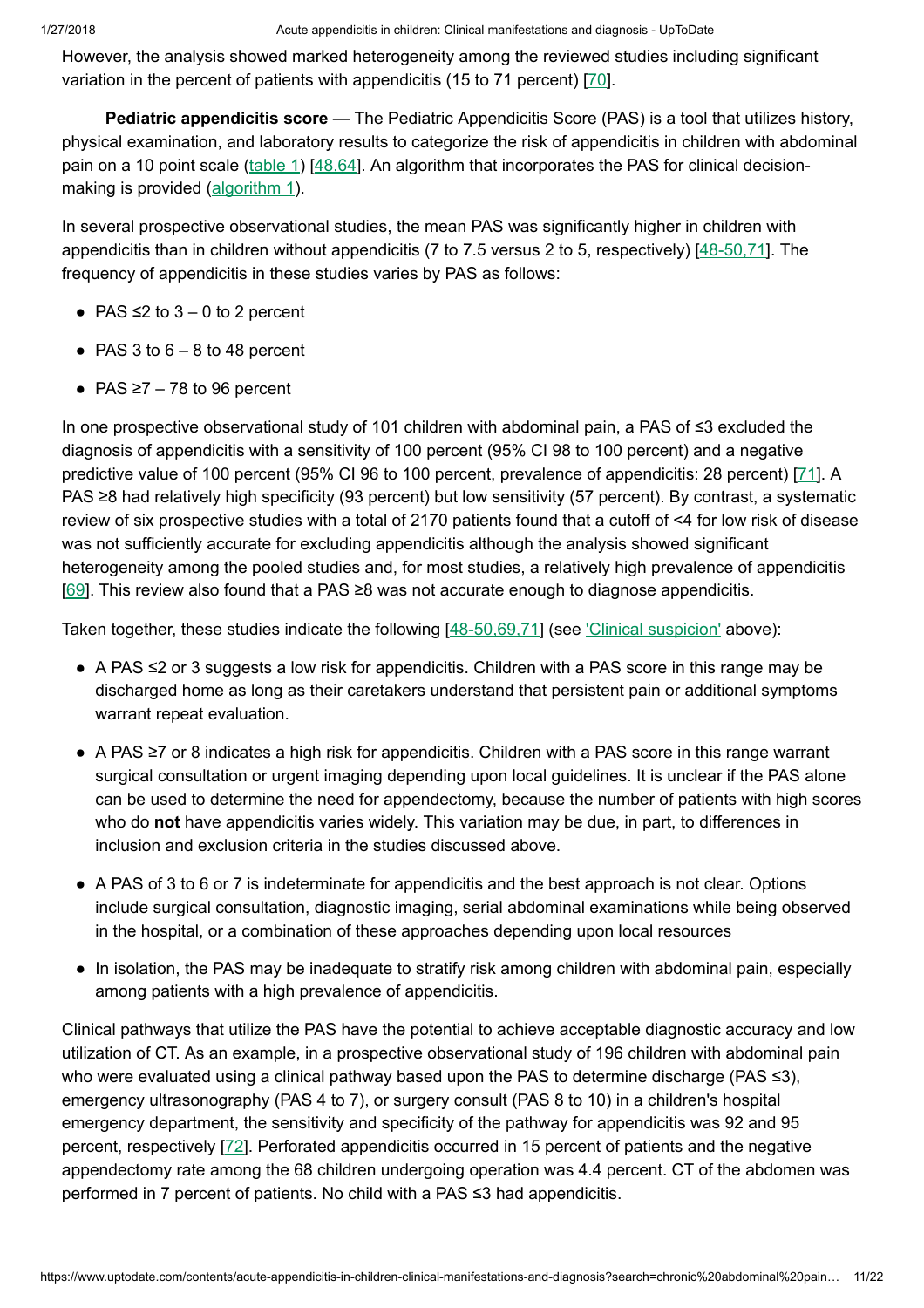However, the analysis showed marked heterogeneity among the reviewed studies including significant variation in the percent of patients with appendicitis (15 to 71 percent) [[70\]](https://www.uptodate.com/contents/acute-appendicitis-in-children-clinical-manifestations-and-diagnosis/abstract/70).

Pediatric appendicitis score — The Pediatric Appendicitis Score (PAS) is a tool that utilizes history, physical examination, and laboratory results to categorize the risk of appendicitis in children with abdominal pain on a 10 point scale [\(table](https://www.uptodate.com/contents/image?imageKey=EM%2F62136&topicKey=EM%2F6479&search=chronic+abdominal+pain+in+children&rank=7%7E150&source=see_link) 1) [\[48,64](https://www.uptodate.com/contents/acute-appendicitis-in-children-clinical-manifestations-and-diagnosis/abstract/48,64)]. An algorithm that incorporates the PAS for clinical decision-making is provided [\(algorithm](https://www.uptodate.com/contents/image?imageKey=EM%2F96236&topicKey=EM%2F6479&search=chronic+abdominal+pain+in+children&rank=7%7E150&source=see_link) 1).

In several prospective observational studies, the mean PAS was significantly higher in children with appendicitis than in children without appendicitis (7 to 7.5 versus 2 to 5, respectively) [[48-50,71](https://www.uptodate.com/contents/acute-appendicitis-in-children-clinical-manifestations-and-diagnosis/abstract/48-50,71)]. The frequency of appendicitis in these studies varies by PAS as follows:

- PAS  $\leq$  2 to 3 0 to 2 percent
- $\bullet$  PAS 3 to 6 8 to 48 percent
- $\bullet$  PAS ≥7 78 to 96 percent

In one prospective observational study of 101 children with abdominal pain, a PAS of ≤3 excluded the diagnosis of appendicitis with a sensitivity of 100 percent (95% CI 98 to 100 percent) and a negative predictive value of 100 percent (95% CI 96 to 100 percent, prevalence of appendicitis: 28 percent) [[71\]](https://www.uptodate.com/contents/acute-appendicitis-in-children-clinical-manifestations-and-diagnosis/abstract/71). A PAS ≥8 had relatively high specificity (93 percent) but low sensitivity (57 percent). By contrast, a systematic review of six prospective studies with a total of 2170 patients found that a cutoff of <4 for low risk of disease was not sufficiently accurate for excluding appendicitis although the analysis showed significant heterogeneity among the pooled studies and, for most studies, a relatively high prevalence of appendicitis [[69\]](https://www.uptodate.com/contents/acute-appendicitis-in-children-clinical-manifestations-and-diagnosis/abstract/69). This review also found that a PAS ≥8 was not accurate enough to diagnose appendicitis.

Taken together, these studies indicate the following [\[48-50,69,71](https://www.uptodate.com/contents/acute-appendicitis-in-children-clinical-manifestations-and-diagnosis/abstract/48-50,69,71)] (see ['Clinical suspicion'](https://www.uptodate.com/contents/acute-appendicitis-in-children-clinical-manifestations-and-diagnosis?search=chronic%20abdominal%20pain%20in%20children&source=search_result&selectedTitle=7~150&usage_type=default&display_rank=7#H6656915) above):

- A PAS ≤2 or 3 suggests a low risk for appendicitis. Children with a PAS score in this range may be discharged home as long as their caretakers understand that persistent pain or additional symptoms warrant repeat evaluation.
- A PAS ≥7 or 8 indicates a high risk for appendicitis. Children with a PAS score in this range warrant surgical consultation or urgent imaging depending upon local guidelines. It is unclear if the PAS alone can be used to determine the need for appendectomy, because the number of patients with high scores who do not have appendicitis varies widely. This variation may be due, in part, to differences in inclusion and exclusion criteria in the studies discussed above.
- A PAS of 3 to 6 or 7 is indeterminate for appendicitis and the best approach is not clear. Options include surgical consultation, diagnostic imaging, serial abdominal examinations while being observed in the hospital, or a combination of these approaches depending upon local resources
- In isolation, the PAS may be inadequate to stratify risk among children with abdominal pain, especially among patients with a high prevalence of appendicitis.

Clinical pathways that utilize the PAS have the potential to achieve acceptable diagnostic accuracy and low utilization of CT. As an example, in a prospective observational study of 196 children with abdominal pain who were evaluated using a clinical pathway based upon the PAS to determine discharge (PAS ≤3), emergency ultrasonography (PAS 4 to 7), or surgery consult (PAS 8 to 10) in a children's hospital emergency department, the sensitivity and specificity of the pathway for appendicitis was 92 and 95 percent, respectively [[72\]](https://www.uptodate.com/contents/acute-appendicitis-in-children-clinical-manifestations-and-diagnosis/abstract/72). Perforated appendicitis occurred in 15 percent of patients and the negative appendectomy rate among the 68 children undergoing operation was 4.4 percent. CT of the abdomen was performed in 7 percent of patients. No child with a PAS ≤3 had appendicitis.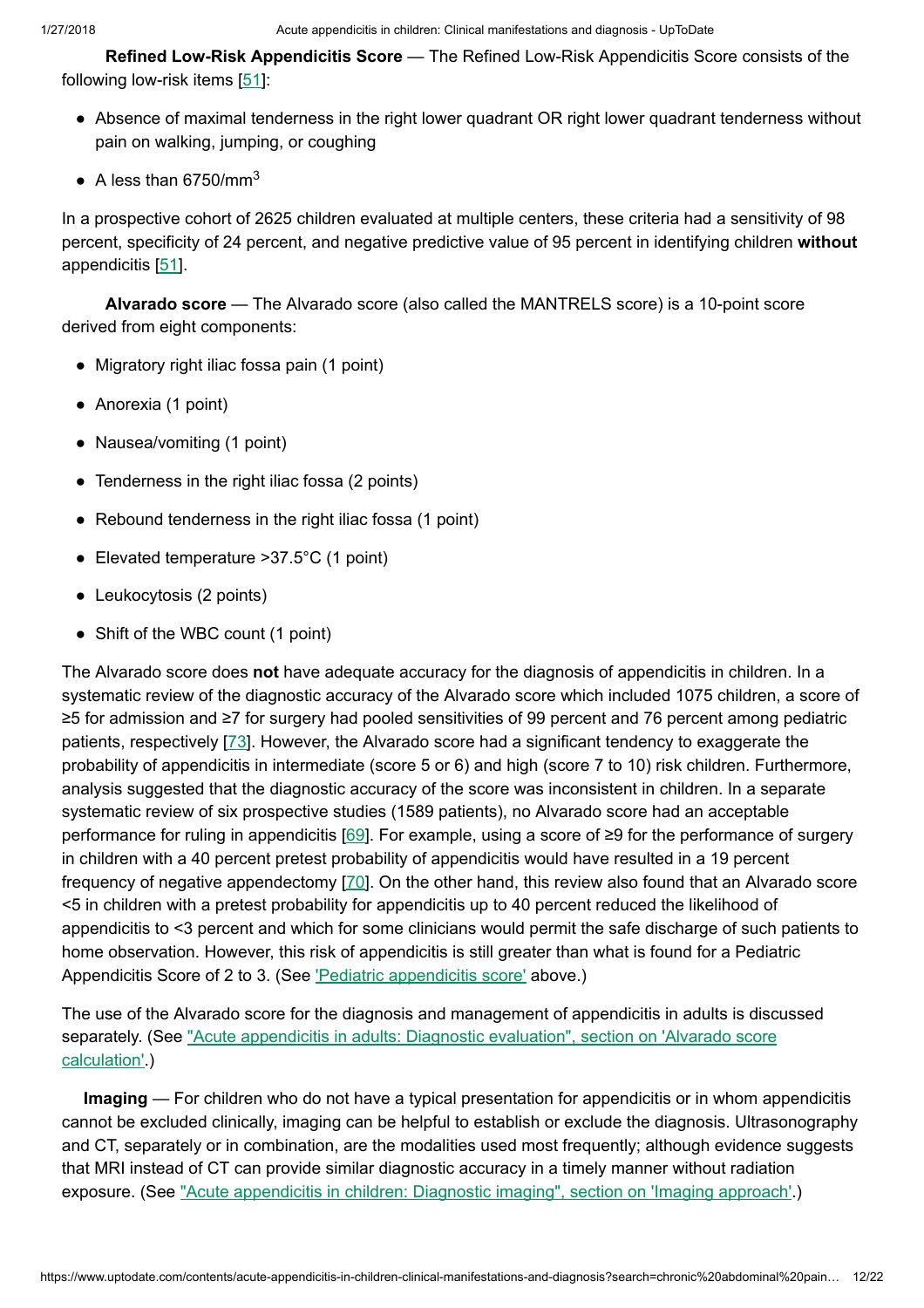Refined Low-Risk Appendicitis Score — The Refined Low-Risk Appendicitis Score consists of the following low-risk items [[51\]](https://www.uptodate.com/contents/acute-appendicitis-in-children-clinical-manifestations-and-diagnosis/abstract/51):

- Absence of maximal tenderness in the right lower quadrant OR right lower quadrant tenderness without pain on walking, jumping, or coughing
- $\bullet$  A less than 6750/mm<sup>3</sup>

In a prospective cohort of 2625 children evaluated at multiple centers, these criteria had a sensitivity of 98 percent, specificity of 24 percent, and negative predictive value of 95 percent in identifying children without appendicitis [[51\]](https://www.uptodate.com/contents/acute-appendicitis-in-children-clinical-manifestations-and-diagnosis/abstract/51).

Alvarado score — The Alvarado score (also called the MANTRELS score) is a 10-point score derived from eight components:

- Migratory right iliac fossa pain (1 point)
- Anorexia (1 point)
- Nausea/vomiting (1 point)
- Tenderness in the right iliac fossa (2 points)
- Rebound tenderness in the right iliac fossa (1 point)
- Elevated temperature >37.5°C (1 point)
- Leukocytosis (2 points)
- Shift of the WBC count (1 point)

The Alvarado score does not have adequate accuracy for the diagnosis of appendicitis in children. In a systematic review of the diagnostic accuracy of the Alvarado score which included 1075 children, a score of ≥5 for admission and ≥7 for surgery had pooled sensitivities of 99 percent and 76 percent among pediatric patients, respectively [[73\]](https://www.uptodate.com/contents/acute-appendicitis-in-children-clinical-manifestations-and-diagnosis/abstract/73). However, the Alvarado score had a significant tendency to exaggerate the probability of appendicitis in intermediate (score 5 or 6) and high (score 7 to 10) risk children. Furthermore, analysis suggested that the diagnostic accuracy of the score was inconsistent in children. In a separate systematic review of six prospective studies (1589 patients), no Alvarado score had an acceptable performance for ruling in appendicitis [[69\]](https://www.uptodate.com/contents/acute-appendicitis-in-children-clinical-manifestations-and-diagnosis/abstract/69). For example, using a score of ≥9 for the performance of surgery in children with a 40 percent pretest probability of appendicitis would have resulted in a 19 percent frequency of negative appendectomy [[70](https://www.uptodate.com/contents/acute-appendicitis-in-children-clinical-manifestations-and-diagnosis/abstract/70)]. On the other hand, this review also found that an Alvarado score <5 in children with a pretest probability for appendicitis up to 40 percent reduced the likelihood of appendicitis to <3 percent and which for some clinicians would permit the safe discharge of such patients to home observation. However, this risk of appendicitis is still greater than what is found for a Pediatric Appendicitis Score of 2 to 3. (See Pediatric [appendicitis](https://www.uptodate.com/contents/acute-appendicitis-in-children-clinical-manifestations-and-diagnosis?search=chronic%20abdominal%20pain%20in%20children&source=search_result&selectedTitle=7~150&usage_type=default&display_rank=7#H1302573) score' above.)

The use of the Alvarado score for the diagnosis and management of appendicitis in adults is discussed separately. (See "Acute appendicitis in adults: Diagnostic evaluation", section on 'Alvarado score [calculation'.\)](https://www.uptodate.com/contents/acute-appendicitis-in-adults-diagnostic-evaluation?sectionName=Alvarado+score+calculation&anchor=H989288087&source=see_link#H989288087)

Imaging — For children who do not have a typical presentation for appendicitis or in whom appendicitis cannot be excluded clinically, imaging can be helpful to establish or exclude the diagnosis. Ultrasonography and CT, separately or in combination, are the modalities used most frequently; although evidence suggests that MRI instead of CT can provide similar diagnostic accuracy in a timely manner without radiation exposure. (See "Acute [appendicitis](https://www.uptodate.com/contents/acute-appendicitis-in-children-diagnostic-imaging?sectionName=IMAGING+APPROACH&anchor=H4189074&source=see_link#H4189074) in children: Diagnostic imaging", section on 'Imaging approach'.)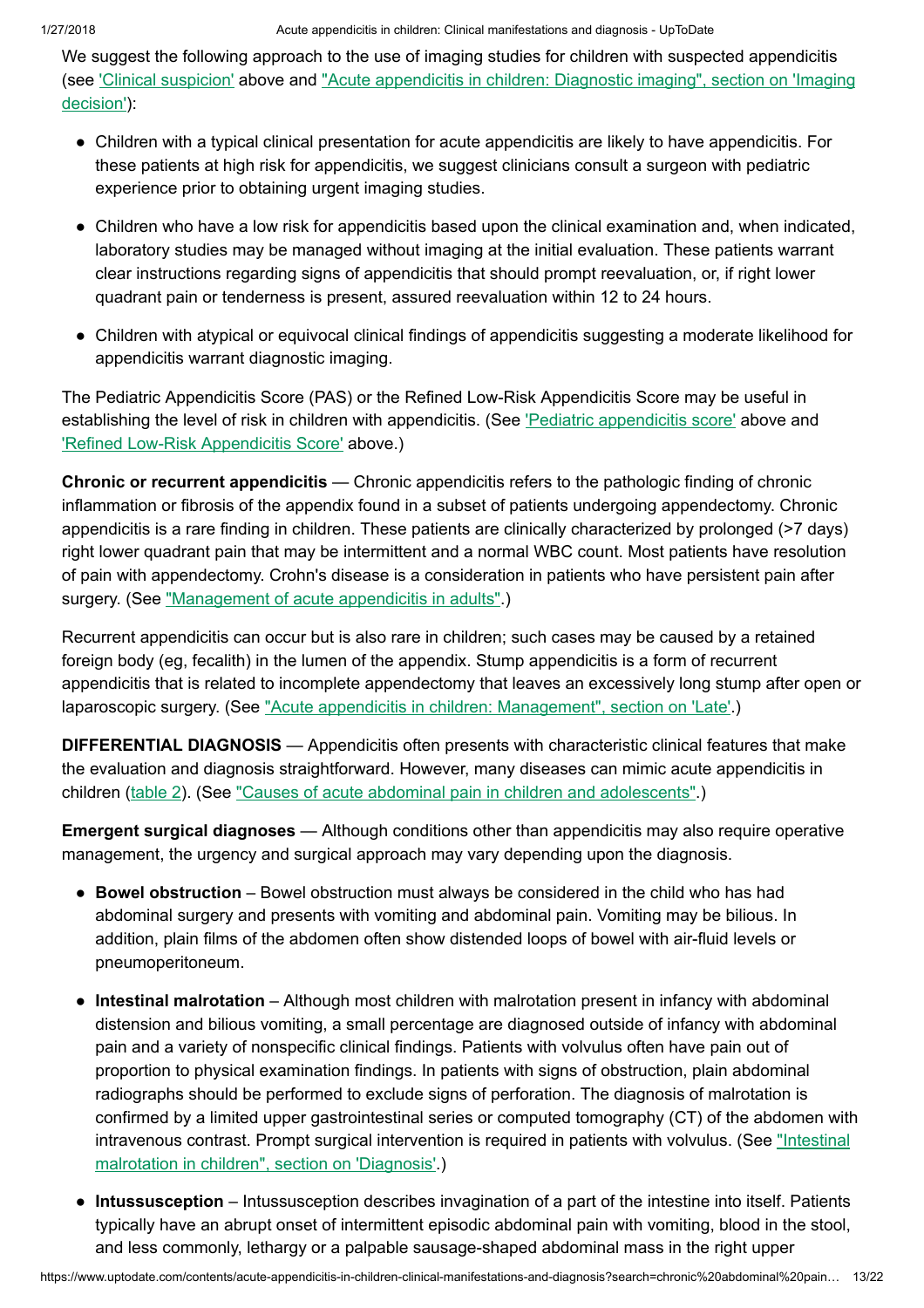We suggest the following approach to the use of imaging studies for children with suspected appendicitis (see ['Clinical suspicion'](https://www.uptodate.com/contents/acute-appendicitis-in-children-clinical-manifestations-and-diagnosis?search=chronic%20abdominal%20pain%20in%20children&source=search_result&selectedTitle=7~150&usage_type=default&display_rank=7#H6656915) above and "Acute appendicitis in children: Diagnostic imaging", section on 'Imaging decision'):

- Children with a typical clinical presentation for acute appendicitis are likely to have appendicitis. For these patients at high risk for appendicitis, we suggest clinicians consult a surgeon with pediatric experience prior to obtaining urgent imaging studies.
- Children who have a low risk for appendicitis based upon the clinical examination and, when indicated, laboratory studies may be managed without imaging at the initial evaluation. These patients warrant clear instructions regarding signs of appendicitis that should prompt reevaluation, or, if right lower quadrant pain or tenderness is present, assured reevaluation within 12 to 24 hours.
- Children with atypical or equivocal clinical findings of appendicitis suggesting a moderate likelihood for appendicitis warrant diagnostic imaging.

The Pediatric Appendicitis Score (PAS) or the Refined Low-Risk Appendicitis Score may be useful in establishing the level of risk in children with [appendicitis](https://www.uptodate.com/contents/acute-appendicitis-in-children-clinical-manifestations-and-diagnosis?search=chronic%20abdominal%20pain%20in%20children&source=search_result&selectedTitle=7~150&usage_type=default&display_rank=7#H1302573). (See 'Pediatric appendicitis score' above and 'Refined Low-Risk [Appendicitis](https://www.uptodate.com/contents/acute-appendicitis-in-children-clinical-manifestations-and-diagnosis?search=chronic%20abdominal%20pain%20in%20children&source=search_result&selectedTitle=7~150&usage_type=default&display_rank=7#H1302667) Score' above.)

Chronic or recurrent appendicitis — Chronic appendicitis refers to the pathologic finding of chronic inflammation or fibrosis of the appendix found in a subset of patients undergoing appendectomy. Chronic appendicitis is a rare finding in children. These patients are clinically characterized by prolonged (>7 days) right lower quadrant pain that may be intermittent and a normal WBC count. Most patients have resolution of pain with appendectomy. Crohn's disease is a consideration in patients who have persistent pain after surgery. (See ["Management](https://www.uptodate.com/contents/management-of-acute-appendicitis-in-adults?source=see_link) of acute appendicitis in adults".)

Recurrent appendicitis can occur but is also rare in children; such cases may be caused by a retained foreign body (eg, fecalith) in the lumen of the appendix. Stump appendicitis is a form of recurrent appendicitis that is related to incomplete appendectomy that leaves an excessively long stump after open or laparoscopic surgery. (See "Acute appendicitis in children: [Management",](https://www.uptodate.com/contents/acute-appendicitis-in-children-management?sectionName=Late&anchor=H29&source=see_link#H29) section on 'Late'.)

DIFFERENTIAL DIAGNOSIS — Appendicitis often presents with characteristic clinical features that make the evaluation and diagnosis straightforward. However, many diseases can mimic acute appendicitis in children ([table](https://www.uptodate.com/contents/image?imageKey=PEDS%2F56309&topicKey=EM%2F6479&search=chronic+abdominal+pain+in+children&rank=7%7E150&source=see_link) 2). (See "Causes of acute [abdominal pain](https://www.uptodate.com/contents/causes-of-acute-abdominal-pain-in-children-and-adolescents?source=see_link) in children and adolescents".)

Emergent surgical diagnoses — Although conditions other than appendicitis may also require operative management, the urgency and surgical approach may vary depending upon the diagnosis.

- Bowel obstruction Bowel obstruction must always be considered in the child who has had abdominal surgery and presents with vomiting and abdominal pain. Vomiting may be bilious. In addition, plain films of the abdomen often show distended loops of bowel with air-fluid levels or pneumoperitoneum.
- Intestinal malrotation Although most children with malrotation present in infancy with abdominal distension and bilious vomiting, a small percentage are diagnosed outside of infancy with abdominal pain and a variety of nonspecific clinical findings. Patients with volvulus often have pain out of proportion to physical examination findings. In patients with signs of obstruction, plain abdominal radiographs should be performed to exclude signs of perforation. The diagnosis of malrotation is confirmed by a limited upper gastrointestinal series or computed tomography (CT) of the abdomen with intravenous contrast. Prompt [surgical intervention](https://www.uptodate.com/contents/intestinal-malrotation-in-children?sectionName=DIAGNOSIS&anchor=H12&source=see_link#H12) is required in patients with volvulus. (See "Intestinal malrotation in children", section on 'Diagnosis'.)
- Intussusception Intussusception describes invagination of a part of the intestine into itself. Patients typically have an abrupt onset of intermittent episodic abdominal pain with vomiting, blood in the stool, and less commonly, lethargy or a palpable sausage-shaped abdominal mass in the right upper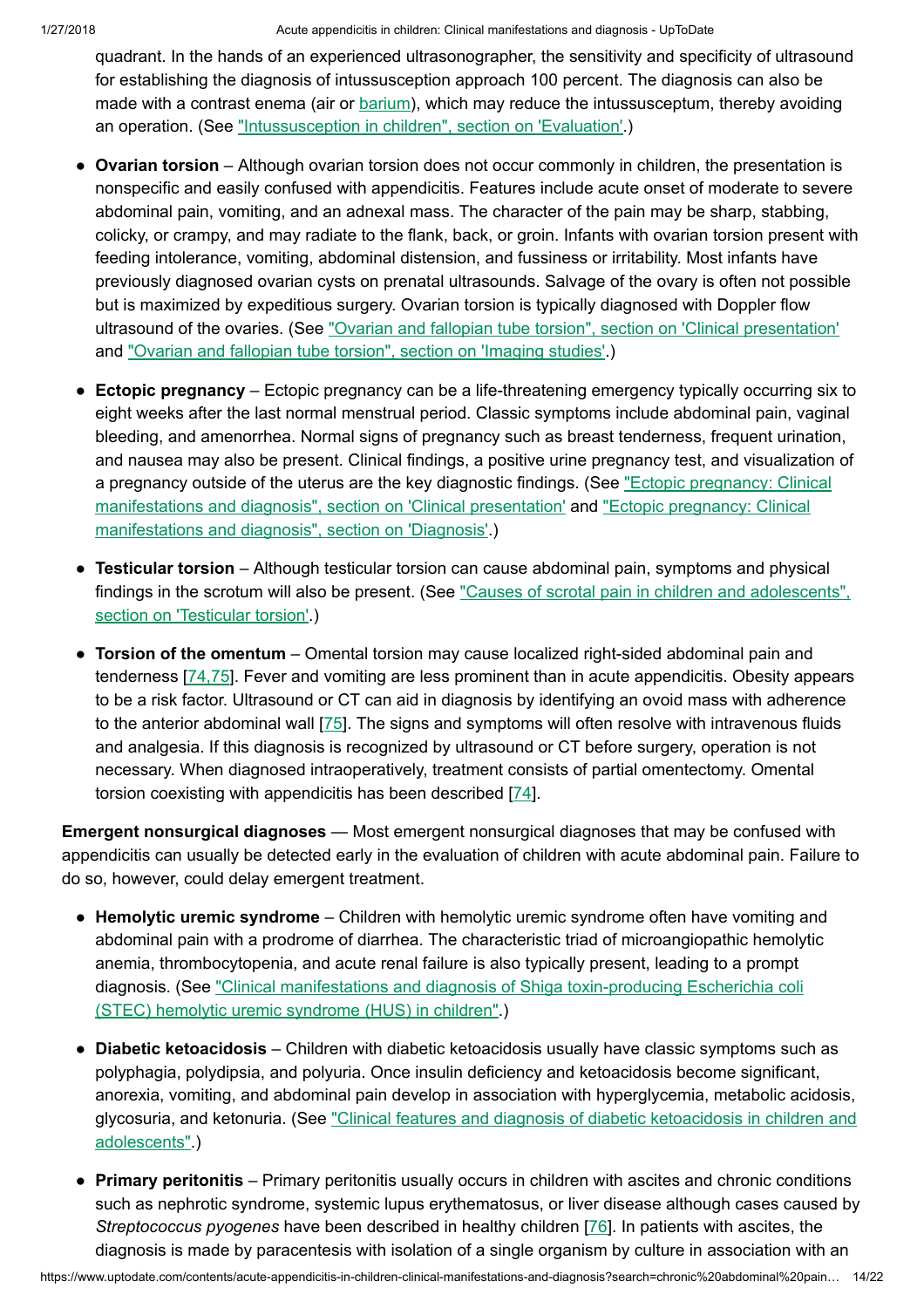quadrant. In the hands of an experienced ultrasonographer, the sensitivity and specificity of ultrasound for establishing the diagnosis of intussusception approach 100 percent. The diagnosis can also be made with a contrast enema (air or [barium\)](https://www.uptodate.com/contents/barium-drug-information?source=see_link), which may reduce the intussusceptum, thereby avoiding an operation. (See ["Intussusception](https://www.uptodate.com/contents/intussusception-in-children?sectionName=EVALUATION&anchor=H10&source=see_link#H10) in children", section on 'Evaluation'.)

- Ovarian torsion Although ovarian torsion does not occur commonly in children, the presentation is nonspecific and easily confused with appendicitis. Features include acute onset of moderate to severe abdominal pain, vomiting, and an adnexal mass. The character of the pain may be sharp, stabbing, colicky, or crampy, and may radiate to the flank, back, or groin. Infants with ovarian torsion present with feeding intolerance, vomiting, abdominal distension, and fussiness or irritability. Most infants have previously diagnosed ovarian cysts on prenatal ultrasounds. Salvage of the ovary is often not possible but is maximized by expeditious surgery. Ovarian torsion is typically diagnosed with Doppler flow ultrasound of the ovaries. (See "Ovarian and fallopian tube torsion", section on ['Clinical presentation'](https://www.uptodate.com/contents/ovarian-and-fallopian-tube-torsion?sectionName=CLINICAL+PRESENTATION&anchor=H327710&source=see_link#H327710) and ["Ovarian](https://www.uptodate.com/contents/ovarian-and-fallopian-tube-torsion?sectionName=Imaging+studies&anchor=H15&source=see_link#H15) and fallopian tube torsion", section on 'Imaging studies'.)
- Ectopic pregnancy Ectopic pregnancy can be a life-threatening emergency typically occurring six to eight weeks after the last normal menstrual period. Classic symptoms include abdominal pain, vaginal bleeding, and amenorrhea. Normal signs of pregnancy such as breast tenderness, frequent urination, and nausea may also be present. Clinical findings, a positive urine pregnancy test, and visualization of a pregnancy outside of the uterus are the key diagnostic findings. (See "Ectopic pregnancy: Clinical manifestations and diagnosis", section on ['Clinical presentation'](https://www.uptodate.com/contents/ectopic-pregnancy-clinical-manifestations-and-diagnosis?sectionName=CLINICAL+PRESENTATION&anchor=H2&source=see_link#H2) and "Ectopic pregnancy: Clinical manifestations and diagnosis", section on 'Diagnosis'.)
- Testicular torsion Although testicular torsion can cause abdominal pain, symptoms and physical findings in the scrotum will also be present. (See "Causes of scrotal pain in children and [adolescents",](https://www.uptodate.com/contents/causes-of-scrotal-pain-in-children-and-adolescents?sectionName=TESTICULAR+TORSION&anchor=H2&source=see_link#H2) section on 'Testicular torsion'.)
- Torsion of the omentum Omental torsion may cause localized right-sided abdominal pain and tenderness [[74,75\]](https://www.uptodate.com/contents/acute-appendicitis-in-children-clinical-manifestations-and-diagnosis/abstract/74,75). Fever and vomiting are less prominent than in acute appendicitis. Obesity appears to be a risk factor. Ultrasound or CT can aid in diagnosis by identifying an ovoid mass with adherence to the anterior abdominal wall [\[75](https://www.uptodate.com/contents/acute-appendicitis-in-children-clinical-manifestations-and-diagnosis/abstract/75)]. The signs and symptoms will often resolve with intravenous fluids and analgesia. If this diagnosis is recognized by ultrasound or CT before surgery, operation is not necessary. When diagnosed intraoperatively, treatment consists of partial omentectomy. Omental torsion coexisting with appendicitis has been described [[74\]](https://www.uptodate.com/contents/acute-appendicitis-in-children-clinical-manifestations-and-diagnosis/abstract/74).

**Emergent nonsurgical diagnoses** — Most emergent nonsurgical diagnoses that may be confused with appendicitis can usually be detected early in the evaluation of children with acute abdominal pain. Failure to do so, however, could delay emergent treatment.

- Hemolytic uremic syndrome Children with hemolytic uremic syndrome often have vomiting and abdominal pain with a prodrome of diarrhea. The characteristic triad of microangiopathic hemolytic anemia, thrombocytopenia, and acute renal failure is also typically present, leading to a prompt diagnosis. (See ["Clinical manifestations](https://www.uptodate.com/contents/clinical-manifestations-and-diagnosis-of-shiga-toxin-producing-escherichia-coli-stec-hemolytic-uremic-syndrome-hus-in-children?source=see_link) and diagnosis of Shiga toxin-producing Escherichia coli (STEC) hemolytic uremic syndrome (HUS) in children".)
- Diabetic ketoacidosis Children with diabetic ketoacidosis usually have classic symptoms such as polyphagia, polydipsia, and polyuria. Once insulin deficiency and ketoacidosis become significant, anorexia, vomiting, and abdominal pain develop in association with hyperglycemia, metabolic acidosis, glycosuria, and ketonuria. (See ["Clinical features](https://www.uptodate.com/contents/clinical-features-and-diagnosis-of-diabetic-ketoacidosis-in-children-and-adolescents?source=see_link) and diagnosis of diabetic ketoacidosis in children and adolescents".)
- Primary peritonitis Primary peritonitis usually occurs in children with ascites and chronic conditions such as nephrotic syndrome, systemic lupus erythematosus, or liver disease although cases caused by Streptococcus pyogenes have been described in healthy children [\[76](https://www.uptodate.com/contents/acute-appendicitis-in-children-clinical-manifestations-and-diagnosis/abstract/76)]. In patients with ascites, the diagnosis is made by paracentesis with isolation of a single organism by culture in association with an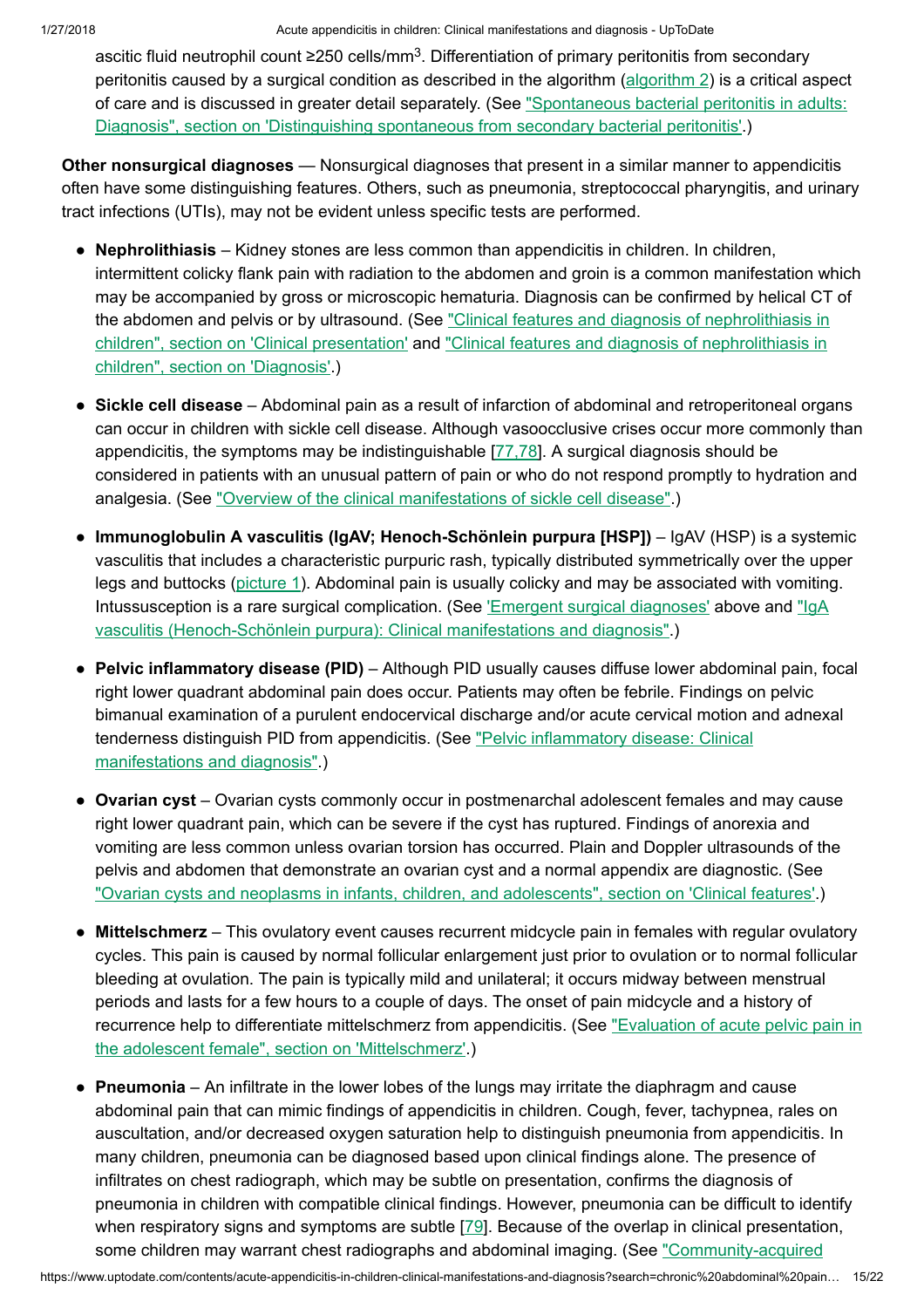ascitic fluid neutrophil count ≥250 cells/mm<sup>3</sup>. Differentiation of primary peritonitis from secondary peritonitis caused by a surgical condition as described in the algorithm [\(algorithm](https://www.uptodate.com/contents/image?imageKey=GAST%2F75590&topicKey=EM%2F6479&search=chronic+abdominal+pain+in+children&rank=7%7E150&source=see_link) 2) is a critical aspect of care and is discussed in greater detail separately. (See "Spontaneous bacterial peritonitis in adults: Diagnosis", section on 'Distinguishing spontaneous from secondary [bacterial peritonitis'.\)](https://www.uptodate.com/contents/spontaneous-bacterial-peritonitis-in-adults-diagnosis?sectionName=DISTINGUISHING+SPONTANEOUS+FROM+SECONDARY+BACTERIAL+PERITONITIS&anchor=H14&source=see_link#H14)

Other nonsurgical diagnoses — Nonsurgical diagnoses that present in a similar manner to appendicitis often have some distinguishing features. Others, such as pneumonia, streptococcal pharyngitis, and urinary tract infections (UTIs), may not be evident unless specific tests are performed.

- Nephrolithiasis Kidney stones are less common than appendicitis in children. In children, intermittent colicky flank pain with radiation to the abdomen and groin is a common manifestation which may be accompanied by gross or microscopic hematuria. Diagnosis can be confirmed by helical CT of the abdomen and pelvis or by ultrasound. (See "Clinical features and diagnosis of nephrolithiasis in children", section on ['Clinical presentation'](https://www.uptodate.com/contents/clinical-features-and-diagnosis-of-nephrolithiasis-in-children?sectionName=CLINICAL+PRESENTATION&anchor=H2&source=see_link#H2) and "Clinical features and diagnosis of nephrolithiasis in children", section on 'Diagnosis'.)
- Sickle cell disease Abdominal pain as a result of infarction of abdominal and retroperitoneal organs can occur in children with sickle cell disease. Although vasoocclusive crises occur more commonly than appendicitis, the symptoms may be indistinguishable [\[77,78](https://www.uptodate.com/contents/acute-appendicitis-in-children-clinical-manifestations-and-diagnosis/abstract/77,78)]. A surgical diagnosis should be considered in patients with an unusual pattern of pain or who do not respond promptly to hydration and analgesia. (See "Overview of the [clinical manifestations](https://www.uptodate.com/contents/overview-of-the-clinical-manifestations-of-sickle-cell-disease?source=see_link) of sickle cell disease".)
- Immunoglobulin A vasculitis (IgAV; Henoch-Schönlein purpura [HSP]) IgAV (HSP) is a systemic vasculitis that includes a characteristic purpuric rash, typically distributed symmetrically over the upper legs and buttocks [\(picture](https://www.uptodate.com/contents/image?imageKey=HEME%2F62546&topicKey=EM%2F6479&search=chronic+abdominal+pain+in+children&rank=7%7E150&source=see_link) 1). Abdominal pain is usually colicky and may be associated with vomiting. Intussusception is a rare surgical complication. (See 'Emergent [surgical diagnoses'](https://www.uptodate.com/contents/acute-appendicitis-in-children-clinical-manifestations-and-diagnosis?search=chronic%20abdominal%20pain%20in%20children&source=search_result&selectedTitle=7~150&usage_type=default&display_rank=7#H24) above and "IgA vasculitis (Henoch-Schönlein purpura): [Clinical manifestations](https://www.uptodate.com/contents/iga-vasculitis-henoch-schonlein-purpura-clinical-manifestations-and-diagnosis?source=see_link) and diagnosis".)
- Pelvic inflammatory disease (PID) Although PID usually causes diffuse lower abdominal pain, focal right lower quadrant abdominal pain does occur. Patients may often be febrile. Findings on pelvic bimanual examination of a purulent endocervical discharge and/or acute cervical motion and adnexal tenderness distinguish PID from appendicitis. (See "Pelvic inflammatory disease: Clinical [manifestations](https://www.uptodate.com/contents/pelvic-inflammatory-disease-clinical-manifestations-and-diagnosis?source=see_link) and diagnosis".)
- Ovarian cyst Ovarian cysts commonly occur in postmenarchal adolescent females and may cause right lower quadrant pain, which can be severe if the cyst has ruptured. Findings of anorexia and vomiting are less common unless ovarian torsion has occurred. Plain and Doppler ultrasounds of the pelvis and abdomen that demonstrate an ovarian cyst and a normal appendix are diagnostic. (See "Ovarian cysts and neoplasms in infants, children, and adolescents", section on ['Clinical features'.](https://www.uptodate.com/contents/ovarian-cysts-and-neoplasms-in-infants-children-and-adolescents?sectionName=Clinical+features&anchor=H22&source=see_link#H22))
- Mittelschmerz This ovulatory event causes recurrent midcycle pain in females with regular ovulatory cycles. This pain is caused by normal follicular enlargement just prior to ovulation or to normal follicular bleeding at ovulation. The pain is typically mild and unilateral; it occurs midway between menstrual periods and lasts for a few hours to a couple of days. The onset of pain midcycle and a history of recurrence help to differentiate mittelschmerz from appendicitis. (See "Evaluation of acute pelvic pain in the adolescent female", section on ['Mittelschmerz'.\)](https://www.uptodate.com/contents/evaluation-of-acute-pelvic-pain-in-the-adolescent-female?sectionName=Mittelschmerz&anchor=H4156418&source=see_link#H4156418)
- Pneumonia An infiltrate in the lower lobes of the lungs may irritate the diaphragm and cause abdominal pain that can mimic findings of appendicitis in children. Cough, fever, tachypnea, rales on auscultation, and/or decreased oxygen saturation help to distinguish pneumonia from appendicitis. In many children, pneumonia can be diagnosed based upon clinical findings alone. The presence of infiltrates on chest radiograph, which may be subtle on presentation, confirms the diagnosis of pneumonia in children with compatible clinical findings. However, pneumonia can be difficult to identify when respiratory signs and symptoms are subtle [\[79](https://www.uptodate.com/contents/acute-appendicitis-in-children-clinical-manifestations-and-diagnosis/abstract/79)]. Because of the overlap in clinical presentation, some children may warrant chest radiographs and abdominal imaging. (See ["Community-acquired](https://www.uptodate.com/contents/community-acquired-pneumonia-in-children-clinical-features-and-diagnosis?sectionName=CLINICAL+PRESENTATION&anchor=H2&source=see_link#H2)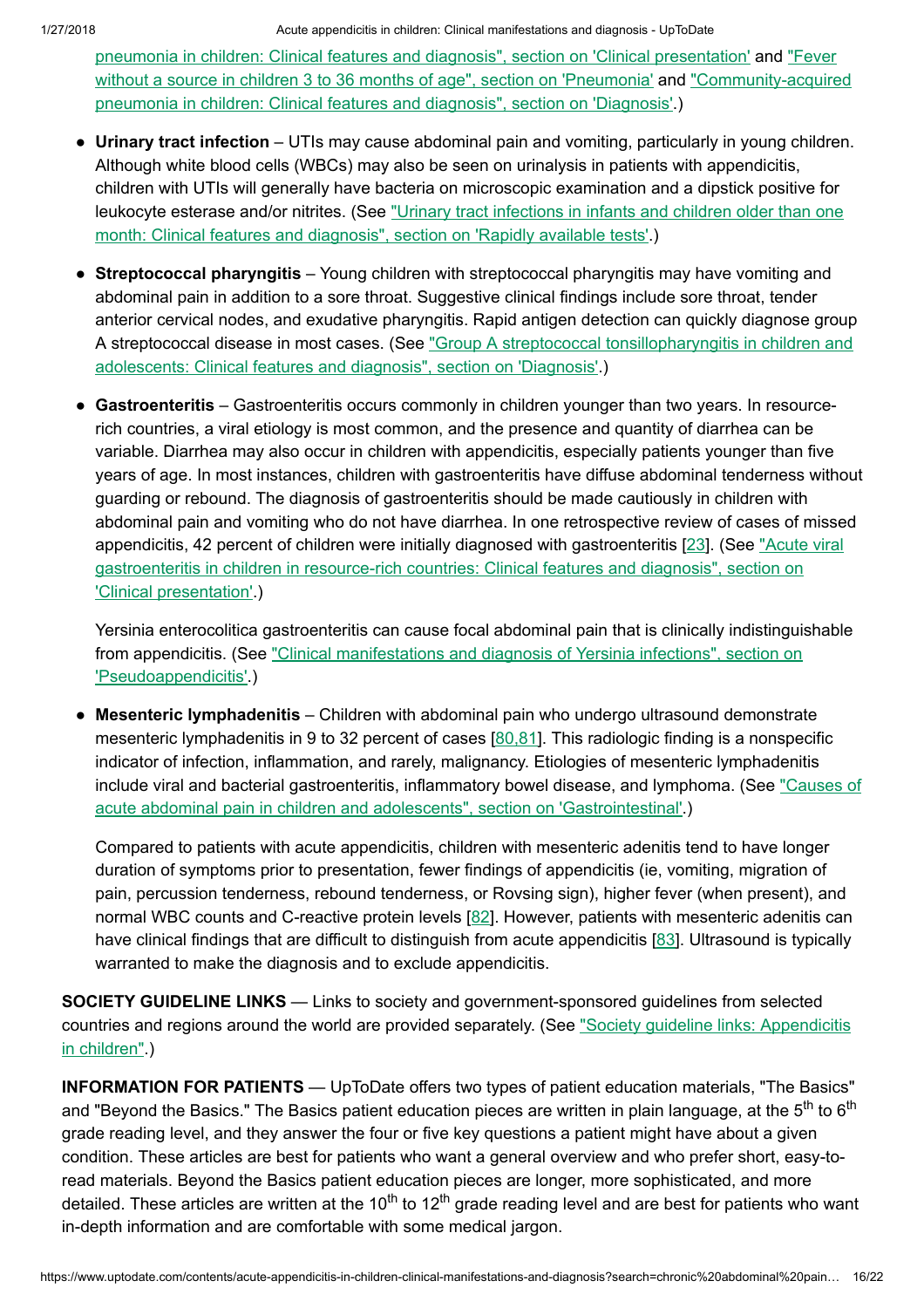pneumonia in children: Clinical features and diagnosis", section on ['Clinical presentation'](https://www.uptodate.com/contents/community-acquired-pneumonia-in-children-clinical-features-and-diagnosis?sectionName=CLINICAL+PRESENTATION&anchor=H2&source=see_link#H2) and "Fever without a source in children 3 to 36 months of age", section on 'Pneumonia' and ["Community-acquired](https://www.uptodate.com/contents/community-acquired-pneumonia-in-children-clinical-features-and-diagnosis?sectionName=DIAGNOSIS&anchor=H29&source=see_link#H29) pneumonia in children: Clinical features and diagnosis", section on 'Diagnosis'.)

- Urinary tract infection UTIs may cause abdominal pain and vomiting, particularly in young children. Although white blood cells (WBCs) may also be seen on urinalysis in patients with appendicitis, children with UTIs will generally have bacteria on microscopic examination and a dipstick positive for leukocyte esterase and/or nitrites. (See "Urinary tract infections in infants and children older than one month: [Clinical features](https://www.uptodate.com/contents/urinary-tract-infections-in-infants-and-children-older-than-one-month-clinical-features-and-diagnosis?sectionName=Rapidly+available+tests&anchor=H12&source=see_link#H12) and diagnosis", section on 'Rapidly available tests'.)
- Streptococcal pharyngitis Young children with streptococcal pharyngitis may have vomiting and abdominal pain in addition to a sore throat. Suggestive clinical findings include sore throat, tender anterior cervical nodes, and exudative pharyngitis. Rapid antigen detection can quickly diagnose group A streptococcal disease in most cases. (See "Group A [streptococcal tonsillopharyngitis](https://www.uptodate.com/contents/group-a-streptococcal-tonsillopharyngitis-in-children-and-adolescents-clinical-features-and-diagnosis?sectionName=DIAGNOSIS&anchor=H16&source=see_link#H16) in children and adolescents: Clinical features and diagnosis", section on 'Diagnosis'.)
- Gastroenteritis Gastroenteritis occurs commonly in children younger than two years. In resourcerich countries, a viral etiology is most common, and the presence and quantity of diarrhea can be variable. Diarrhea may also occur in children with appendicitis, especially patients younger than five years of age. In most instances, children with gastroenteritis have diffuse abdominal tenderness without guarding or rebound. The diagnosis of gastroenteritis should be made cautiously in children with abdominal pain and vomiting who do not have diarrhea. In one retrospective review of cases of missed appendicitis, 42 percent of children were initially diagnosed with gastroenteritis [\[23](https://www.uptodate.com/contents/acute-appendicitis-in-children-clinical-manifestations-and-diagnosis/abstract/23)]. (See "Acute viral gastroenteritis in children in resource-rich countries: Clinical features and diagnosis", section on ['Clinical presentation'.\)](https://www.uptodate.com/contents/acute-viral-gastroenteritis-in-children-in-resource-rich-countries-clinical-features-and-diagnosis?sectionName=CLINICAL+PRESENTATION&anchor=H521299938&source=see_link#H521299938)

Yersinia enterocolitica gastroenteritis can cause focal abdominal pain that is clinically indistinguishable from appendicitis. (See ["Clinical manifestations](https://www.uptodate.com/contents/clinical-manifestations-and-diagnosis-of-yersinia-infections?sectionName=Pseudoappendicitis&anchor=H89479916&source=see_link#H89479916) and diagnosis of Yersinia infections", section on 'Pseudoappendicitis'.)

• Mesenteric lymphadenitis - Children with abdominal pain who undergo ultrasound demonstrate mesenteric lymphadenitis in 9 to 32 percent of cases [\[80,81](https://www.uptodate.com/contents/acute-appendicitis-in-children-clinical-manifestations-and-diagnosis/abstract/80,81)]. This radiologic finding is a nonspecific indicator of infection, inflammation, and rarely, malignancy. Etiologies of mesenteric lymphadenitis include viral and [bacterial gastroenteritis,](https://www.uptodate.com/contents/causes-of-acute-abdominal-pain-in-children-and-adolescents?sectionName=Gastrointestinal&anchor=H28&source=see_link#H28) inflammatory bowel disease, and lymphoma. (See "Causes of acute abdominal pain in children and adolescents", section on 'Gastrointestinal'.)

Compared to patients with acute appendicitis, children with mesenteric adenitis tend to have longer duration of symptoms prior to presentation, fewer findings of appendicitis (ie, vomiting, migration of pain, percussion tenderness, rebound tenderness, or Rovsing sign), higher fever (when present), and normal WBC counts and C-reactive protein levels [[82\]](https://www.uptodate.com/contents/acute-appendicitis-in-children-clinical-manifestations-and-diagnosis/abstract/82). However, patients with mesenteric adenitis can have clinical findings that are difficult to distinguish from acute appendicitis [[83\]](https://www.uptodate.com/contents/acute-appendicitis-in-children-clinical-manifestations-and-diagnosis/abstract/83). Ultrasound is typically warranted to make the diagnosis and to exclude appendicitis.

SOCIETY GUIDELINE LINKS — Links to society and government-sponsored guidelines from selected countries and regions around the world are provided separately. (See "Society guideline links: [Appendicitis](https://www.uptodate.com/contents/society-guideline-links-appendicitis-in-children?source=see_link) in children".)

INFORMATION FOR PATIENTS — UpToDate offers two types of patient education materials, "The Basics" and "Beyond the Basics." The Basics patient education pieces are written in plain language, at the 5<sup>th</sup> to 6<sup>th</sup> grade reading level, and they answer the four or five key questions a patient might have about a given condition. These articles are best for patients who want a general overview and who prefer short, easy-toread materials. Beyond the Basics patient education pieces are longer, more sophisticated, and more detailed. These articles are written at the 10<sup>th</sup> to 12<sup>th</sup> grade reading level and are best for patients who want in-depth information and are comfortable with some medical jargon.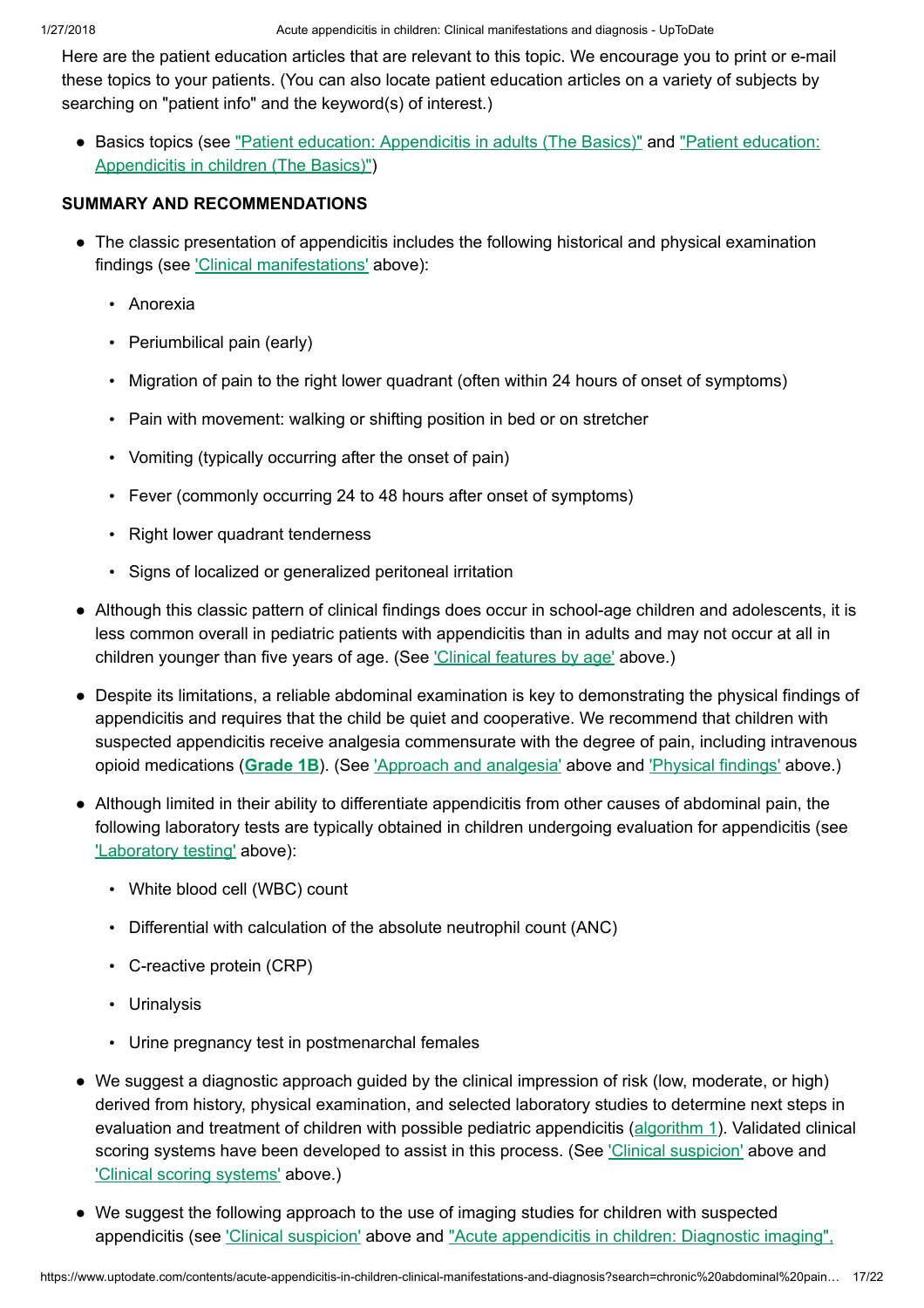Here are the patient education articles that are relevant to this topic. We encourage you to print or e-mail these topics to your patients. (You can also locate patient education articles on a variety of subjects by searching on "patient info" and the keyword(s) of interest.)

• Basics topics (see "Patient education: [Appendicitis](https://www.uptodate.com/contents/appendicitis-in-children-the-basics?source=see_link) in adults (The Basics)" and "Patient education: Appendicitis in children (The Basics)")

## SUMMARY AND RECOMMENDATIONS

- The classic presentation of appendicitis includes the following historical and physical examination findings (see ['Clinical manifestations'](https://www.uptodate.com/contents/acute-appendicitis-in-children-clinical-manifestations-and-diagnosis?search=chronic%20abdominal%20pain%20in%20children&source=search_result&selectedTitle=7~150&usage_type=default&display_rank=7#H5) above):
	- Anorexia
	- Periumbilical pain (early)
	- Migration of pain to the right lower quadrant (often within 24 hours of onset of symptoms)
	- Pain with movement: walking or shifting position in bed or on stretcher
	- Vomiting (typically occurring after the onset of pain)
	- Fever (commonly occurring 24 to 48 hours after onset of symptoms)
	- Right lower quadrant tenderness
	- Signs of localized or generalized peritoneal irritation
- Although this classic pattern of clinical findings does occur in school-age children and adolescents, it is less common overall in pediatric patients with appendicitis than in adults and may not occur at all in children younger than five years of age. (See ['Clinical features](https://www.uptodate.com/contents/acute-appendicitis-in-children-clinical-manifestations-and-diagnosis?search=chronic%20abdominal%20pain%20in%20children&source=search_result&selectedTitle=7~150&usage_type=default&display_rank=7#H599831092) by age' above.)
- Despite its limitations, a reliable abdominal examination is key to demonstrating the physical findings of appendicitis and requires that the child be quiet and cooperative. We recommend that children with suspected appendicitis receive analgesia commensurate with the degree of pain, including intravenous opioid medications ([Grade](https://www.uptodate.com/contents/grade/2?title=Grade%201B&topicKey=EM/6479) 1B). (See ['Approach](https://www.uptodate.com/contents/acute-appendicitis-in-children-clinical-manifestations-and-diagnosis?search=chronic%20abdominal%20pain%20in%20children&source=search_result&selectedTitle=7~150&usage_type=default&display_rank=7#H2654866) and analgesia' above and ['Physical findings'](https://www.uptodate.com/contents/acute-appendicitis-in-children-clinical-manifestations-and-diagnosis?search=chronic%20abdominal%20pain%20in%20children&source=search_result&selectedTitle=7~150&usage_type=default&display_rank=7#H599831735) above.)
- Although limited in their ability to differentiate appendicitis from other causes of abdominal pain, the following laboratory tests are typically obtained in children undergoing evaluation for appendicitis (see ['Laboratory](https://www.uptodate.com/contents/acute-appendicitis-in-children-clinical-manifestations-and-diagnosis?search=chronic%20abdominal%20pain%20in%20children&source=search_result&selectedTitle=7~150&usage_type=default&display_rank=7#H1301606) testing' above):
	- White blood cell (WBC) count
	- Differential with calculation of the absolute neutrophil count (ANC)
	- C-reactive protein (CRP)
	- Urinalysis
	- Urine pregnancy test in postmenarchal females
- We suggest a diagnostic approach guided by the clinical impression of risk (low, moderate, or high) derived from history, physical examination, and selected laboratory studies to determine next steps in evaluation and treatment of children with possible pediatric appendicitis ([algorithm](https://www.uptodate.com/contents/image?imageKey=EM%2F96236&topicKey=EM%2F6479&search=chronic+abdominal+pain+in+children&rank=7%7E150&source=see_link) 1). Validated clinical scoring systems have been developed to assist in this process. (See ['Clinical suspicion'](https://www.uptodate.com/contents/acute-appendicitis-in-children-clinical-manifestations-and-diagnosis?search=chronic%20abdominal%20pain%20in%20children&source=search_result&selectedTitle=7~150&usage_type=default&display_rank=7#H6656915) above and ['Clinical scoring](https://www.uptodate.com/contents/acute-appendicitis-in-children-clinical-manifestations-and-diagnosis?search=chronic%20abdominal%20pain%20in%20children&source=search_result&selectedTitle=7~150&usage_type=default&display_rank=7#H6659516) systems' above.)
- We suggest the following approach to the use of imaging studies for children with suspected appendicitis (see ['Clinical suspicion'](https://www.uptodate.com/contents/acute-appendicitis-in-children-clinical-manifestations-and-diagnosis?search=chronic%20abdominal%20pain%20in%20children&source=search_result&selectedTitle=7~150&usage_type=default&display_rank=7#H6656915) above and "Acute appendicitis in children: Diagnostic imaging",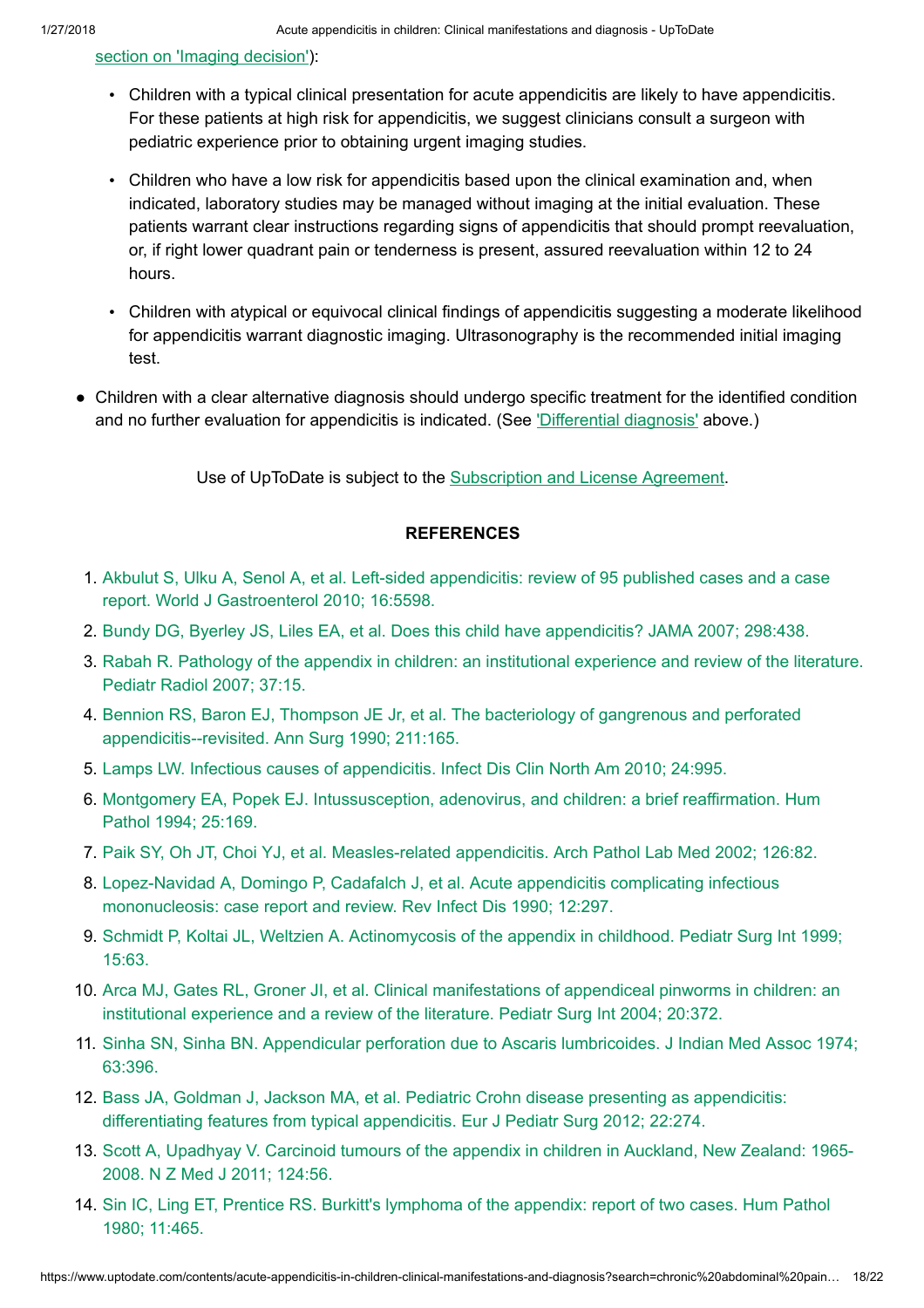### section on 'Imaging [decision'\):](https://www.uptodate.com/contents/acute-appendicitis-in-children-diagnostic-imaging?sectionName=IMAGING+DECISION&anchor=H5842759&source=see_link#H5842759)

- Children with a typical clinical presentation for acute appendicitis are likely to have appendicitis. For these patients at high risk for appendicitis, we suggest clinicians consult a surgeon with pediatric experience prior to obtaining urgent imaging studies.
- Children who have a low risk for appendicitis based upon the clinical examination and, when indicated, laboratory studies may be managed without imaging at the initial evaluation. These patients warrant clear instructions regarding signs of appendicitis that should prompt reevaluation, or, if right lower quadrant pain or tenderness is present, assured reevaluation within 12 to 24 hours.
- Children with atypical or equivocal clinical findings of appendicitis suggesting a moderate likelihood for appendicitis warrant diagnostic imaging. Ultrasonography is the recommended initial imaging test.
- Children with a clear alternative diagnosis should undergo specific treatment for the identified condition ●and no further evaluation for appendicitis is indicated. (See ['Differential diagnosis'](https://www.uptodate.com/contents/acute-appendicitis-in-children-clinical-manifestations-and-diagnosis?search=chronic%20abdominal%20pain%20in%20children&source=search_result&selectedTitle=7~150&usage_type=default&display_rank=7#H23) above.)

Use of UpToDate is subject to the [Subscription](https://www.uptodate.com/legal/license) and License Agreement.

## **REFERENCES**

- 1. Akbulut S, Ulku A, Senol A, et al. Left-sided appendicitis: review of 95 published cases and a case report. World J [Gastroenterol 2010;](https://www.uptodate.com/contents/acute-appendicitis-in-children-clinical-manifestations-and-diagnosis/abstract/1) 16:5598.
- 2. Bundy DG, Byerley JS, Liles EA, et al. Does this child have [appendicitis?](https://www.uptodate.com/contents/acute-appendicitis-in-children-clinical-manifestations-and-diagnosis/abstract/2) JAMA 2007; 298:438.
- 3. Rabah R. Pathology of the appendix in children: an [institutional experience](https://www.uptodate.com/contents/acute-appendicitis-in-children-clinical-manifestations-and-diagnosis/abstract/3) and review of the literature. Pediatr Radiol 2007; 37:15.
- 4. Bennion RS, Baron EJ, Thompson JE Jr, et al. The bacteriology of gangrenous and perforated [appendicitis--revisited.](https://www.uptodate.com/contents/acute-appendicitis-in-children-clinical-manifestations-and-diagnosis/abstract/4) Ann Surg 1990; 211:165.
- 5. Lamps LW. Infectious causes of [appendicitis.](https://www.uptodate.com/contents/acute-appendicitis-in-children-clinical-manifestations-and-diagnosis/abstract/5) Infect Dis Clin North Am 2010; 24:995.
- 6. Montgomery EA, Popek EJ. [Intussusception,](https://www.uptodate.com/contents/acute-appendicitis-in-children-clinical-manifestations-and-diagnosis/abstract/6) adenovirus, and children: a brief reaffirmation. Hum Pathol 1994; 25:169.
- 7. Paik SY, Oh JT, Choi YJ, et al. [Measles-related](https://www.uptodate.com/contents/acute-appendicitis-in-children-clinical-manifestations-and-diagnosis/abstract/7) appendicitis. Arch Pathol Lab Med 2002; 126:82.
- 8. Lopez-Navidad A, Domingo P, Cadafalch J, et al. Acute appendicitis complicating infectious [mononucleosis:](https://www.uptodate.com/contents/acute-appendicitis-in-children-clinical-manifestations-and-diagnosis/abstract/8) case report and review. Rev Infect Dis 1990; 12:297.
- 9. Schmidt P, Koltai JL, Weltzien A. [Actinomycosis](https://www.uptodate.com/contents/acute-appendicitis-in-children-clinical-manifestations-and-diagnosis/abstract/9) of the appendix in childhood. Pediatr Surg Int 1999; 15:63.
- 10. Arca MJ, Gates RL, Groner JI, et al. Clinical manifestations of appendiceal pinworms in children: an [institutional experience](https://www.uptodate.com/contents/acute-appendicitis-in-children-clinical-manifestations-and-diagnosis/abstract/10) and a review of the literature. Pediatr Surg Int 2004; 20:372.
- 11. Sinha SN, Sinha BN. Appendicular perforation due to Ascaris [lumbricoides.](https://www.uptodate.com/contents/acute-appendicitis-in-children-clinical-manifestations-and-diagnosis/abstract/11) J Indian Med Assoc 1974; 63:396.
- 12. Bass JA, Goldman J, Jackson MA, et al. Pediatric Crohn disease presenting as appendicitis: differentiating features from [typical appendicitis.](https://www.uptodate.com/contents/acute-appendicitis-in-children-clinical-manifestations-and-diagnosis/abstract/12) Eur J Pediatr Surg 2012; 22:274.
- 13. Scott A, [Upadhyay](https://www.uptodate.com/contents/acute-appendicitis-in-children-clinical-manifestations-and-diagnosis/abstract/13) V. Carcinoid tumours of the appendix in children in Auckland, New Zealand: 1965- 2008. N Z Med J 2011; 124:56.
- 14. Sin IC, Ling ET, Prentice RS. Burkitt's [lymphoma](https://www.uptodate.com/contents/acute-appendicitis-in-children-clinical-manifestations-and-diagnosis/abstract/14) of the appendix: report of two cases. Hum Pathol 1980; 11:465.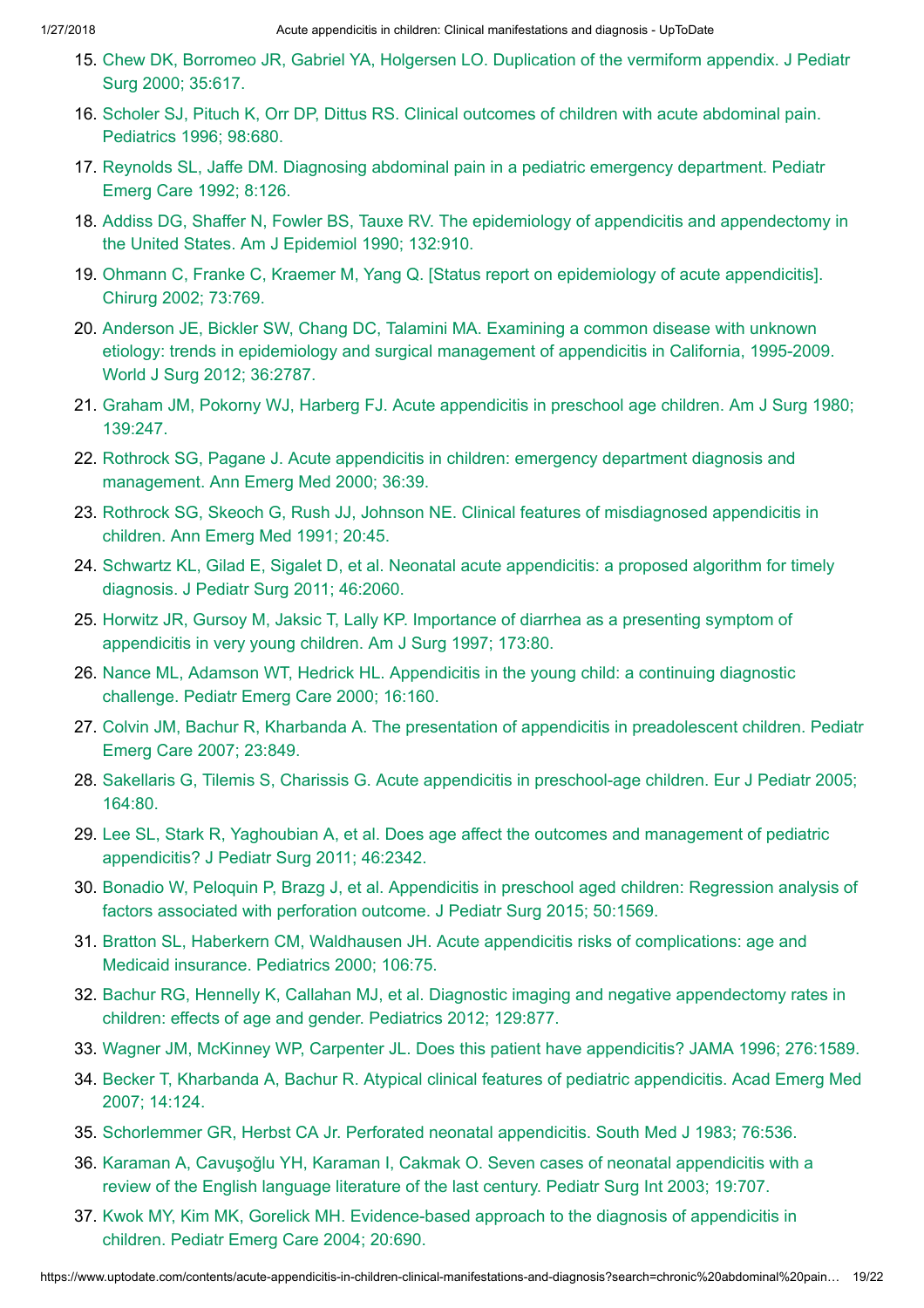- 15. Chew DK, Borromeo JR, [Gabriel YA,](https://www.uptodate.com/contents/acute-appendicitis-in-children-clinical-manifestations-and-diagnosis/abstract/15) Holgersen LO. Duplication of the vermiform appendix. J Pediatr Surg 2000; 35:617.
- 16. Scholer SJ, Pituch K, Orr DP, Dittus RS. [Clinical outcomes](https://www.uptodate.com/contents/acute-appendicitis-in-children-clinical-manifestations-and-diagnosis/abstract/16) of children with acute abdominal pain. Pediatrics 1996; 98:680.
- 17. Reynolds SL, Jaffe DM. Diagnosing [abdominal pain](https://www.uptodate.com/contents/acute-appendicitis-in-children-clinical-manifestations-and-diagnosis/abstract/17) in a pediatric emergency department. Pediatr Emerg Care 1992; 8:126.
- 18. Addiss DG, Shaffer N, Fowler BS, Tauxe RV. The epidemiology of appendicitis and appendectomy in the United States. Am J [Epidemiol 1990;](https://www.uptodate.com/contents/acute-appendicitis-in-children-clinical-manifestations-and-diagnosis/abstract/18) 132:910.
- 19. Ohmann C, Franke C, Kraemer M, Yang Q. [Status report on [epidemiology](https://www.uptodate.com/contents/acute-appendicitis-in-children-clinical-manifestations-and-diagnosis/abstract/19) of acute appendicitis]. Chirurg 2002; 73:769.
- 20. Anderson JE, Bickler SW, Chang DC, Talamini MA. Examining a common disease with unknown etiology: trends in epidemiology and [surgical management](https://www.uptodate.com/contents/acute-appendicitis-in-children-clinical-manifestations-and-diagnosis/abstract/20) of appendicitis in California, 1995-2009. World J Surg 2012; 36:2787.
- 21. Graham JM, Pokorny WJ, Harberg FJ. Acute appendicitis in [preschool age](https://www.uptodate.com/contents/acute-appendicitis-in-children-clinical-manifestations-and-diagnosis/abstract/21) children. Am J Surg 1980; 139:247.
- 22. Rothrock SG, Pagane J. Acute appendicitis in children: emergency department diagnosis and [management.](https://www.uptodate.com/contents/acute-appendicitis-in-children-clinical-manifestations-and-diagnosis/abstract/22) Ann Emerg Med 2000; 36:39.
- 23. Rothrock SG, Skeoch G, Rush JJ, Johnson NE. [Clinical features](https://www.uptodate.com/contents/acute-appendicitis-in-children-clinical-manifestations-and-diagnosis/abstract/23) of misdiagnosed appendicitis in children. Ann Emerg Med 1991; 20:45.
- 24. Schwartz KL, Gilad E, Sigalet D, et al. [Neonatal acute](https://www.uptodate.com/contents/acute-appendicitis-in-children-clinical-manifestations-and-diagnosis/abstract/24) appendicitis: a proposed algorithm for timely diagnosis. J Pediatr Surg 2011; 46:2060.
- 25. Horwitz JR, Gursoy M, Jaksic T, Lally KP. Importance of diarrhea as a presenting symptom of [appendicitis](https://www.uptodate.com/contents/acute-appendicitis-in-children-clinical-manifestations-and-diagnosis/abstract/25) in very young children. Am J Surg 1997; 173:80.
- 26. Nance ML, Adamson WT, Hedrick HL. [Appendicitis](https://www.uptodate.com/contents/acute-appendicitis-in-children-clinical-manifestations-and-diagnosis/abstract/26) in the young child: a continuing diagnostic challenge. Pediatr Emerg Care 2000; 16:160.
- 27. Colvin JM, Bachur R, Kharbanda A. The presentation of appendicitis in [preadolescent](https://www.uptodate.com/contents/acute-appendicitis-in-children-clinical-manifestations-and-diagnosis/abstract/27) children. Pediatr Emerg Care 2007; 23:849.
- 28. Sakellaris G, Tilemis S, Charissis G. Acute appendicitis in [preschool-age](https://www.uptodate.com/contents/acute-appendicitis-in-children-clinical-manifestations-and-diagnosis/abstract/28) children. Eur J Pediatr 2005; 164:80.
- 29. Lee SL, Stark R, Yaghoubian A, et al. Does age affect the outcomes and management of pediatric [appendicitis?](https://www.uptodate.com/contents/acute-appendicitis-in-children-clinical-manifestations-and-diagnosis/abstract/29) J Pediatr Surg 2011; 46:2342.
- 30. Bonadio W, Peloquin P, Brazg J, et al. Appendicitis in [preschool aged](https://www.uptodate.com/contents/acute-appendicitis-in-children-clinical-manifestations-and-diagnosis/abstract/30) children: Regression analysis of factors associated with perforation outcome. J Pediatr Surg 2015; 50:1569.
- 31. Bratton SL, Haberkern CM, Waldhausen JH. Acute appendicitis risks of [complications:](https://www.uptodate.com/contents/acute-appendicitis-in-children-clinical-manifestations-and-diagnosis/abstract/31) age and Medicaid insurance. Pediatrics 2000; 106:75.
- 32. Bachur RG, Hennelly K, Callahan MJ, et al. Diagnostic imaging and negative [appendectomy](https://www.uptodate.com/contents/acute-appendicitis-in-children-clinical-manifestations-and-diagnosis/abstract/32) rates in children: effects of age and gender. Pediatrics 2012; 129:877.
- 33. Wagner JM, McKinney WP, Carpenter JL. Does this patient have [appendicitis?](https://www.uptodate.com/contents/acute-appendicitis-in-children-clinical-manifestations-and-diagnosis/abstract/33) JAMA 1996; 276:1589.
- 34. Becker T, Kharbanda A, Bachur R. [Atypical clinical features](https://www.uptodate.com/contents/acute-appendicitis-in-children-clinical-manifestations-and-diagnosis/abstract/34) of pediatric appendicitis. Acad Emerg Med 2007; 14:124.
- 35. Schorlemmer GR, Herbst CA Jr. Perforated [neonatal appendicitis.](https://www.uptodate.com/contents/acute-appendicitis-in-children-clinical-manifestations-and-diagnosis/abstract/35) South Med J 1983; 76:536.
- 36. Karaman A, Cavuşoğlu YH, Karaman I, Cakmak O. Seven cases of [neonatal appendicitis](https://www.uptodate.com/contents/acute-appendicitis-in-children-clinical-manifestations-and-diagnosis/abstract/36) with a review of the English language literature of the last century. Pediatr Surg Int 2003; 19:707.
- 37. Kwok MY, Kim MK, Gorelick MH. [Evidence-based](https://www.uptodate.com/contents/acute-appendicitis-in-children-clinical-manifestations-and-diagnosis/abstract/37) approach to the diagnosis of appendicitis in children. Pediatr Emerg Care 2004; 20:690.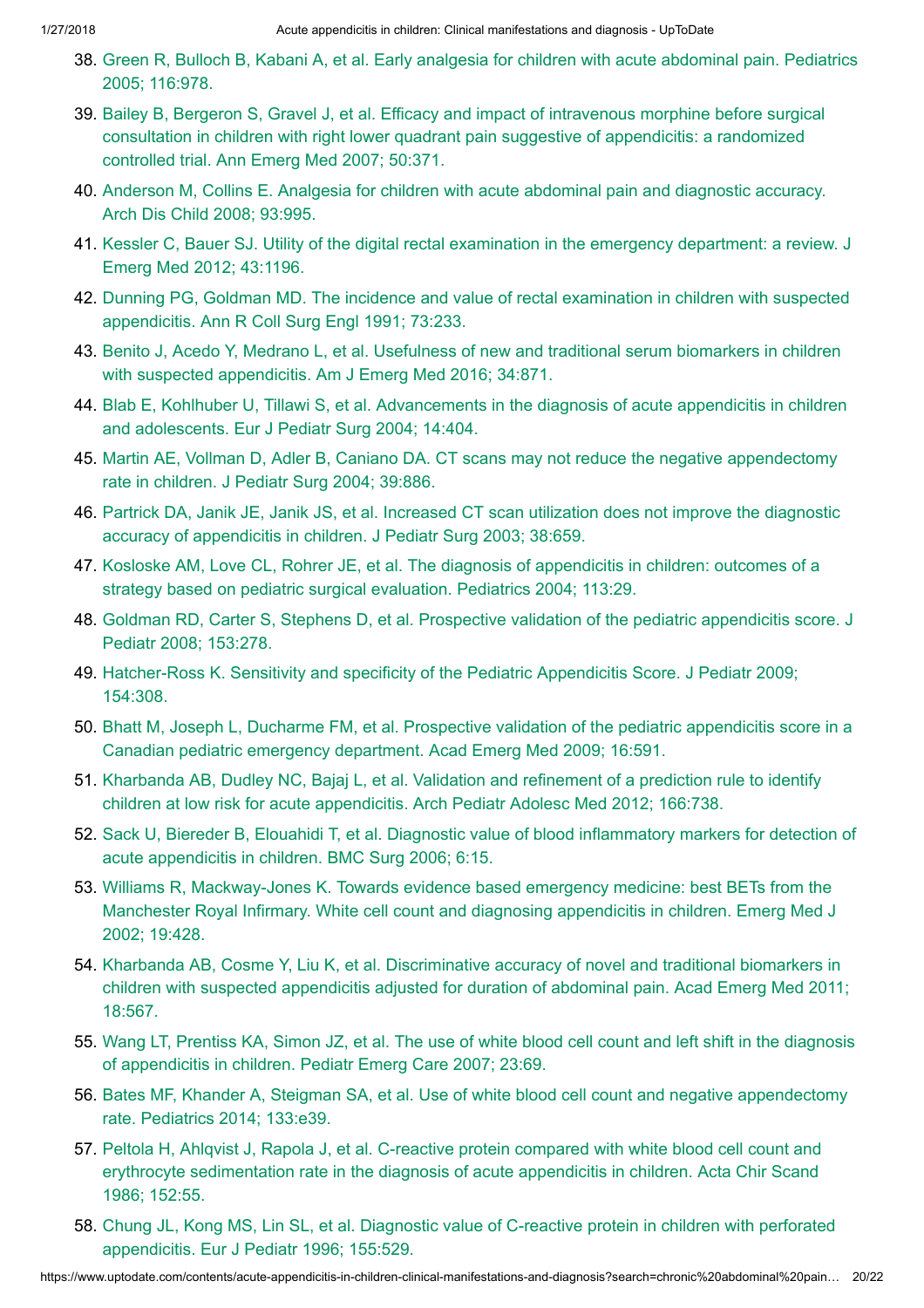- 38. Green R, Bulloch B, Kabani A, et al. Early analgesia for children with acute [abdominal pain.](https://www.uptodate.com/contents/acute-appendicitis-in-children-clinical-manifestations-and-diagnosis/abstract/38) Pediatrics 2005; 116:978.
- 39. Bailey B, Bergeron S, Gravel J, et al. Efficacy and impact of intravenous morphine before surgical consultation in children with right lower quadrant pain suggestive of [appendicitis:](https://www.uptodate.com/contents/acute-appendicitis-in-children-clinical-manifestations-and-diagnosis/abstract/39) a randomized controlled trial. Ann Emerg Med 2007; 50:371.
- 40. Anderson M, Collins E. Analgesia for children with acute [abdominal pain](https://www.uptodate.com/contents/acute-appendicitis-in-children-clinical-manifestations-and-diagnosis/abstract/40) and diagnostic accuracy. Arch Dis Child 2008; 93:995.
- 41. Kessler C, Bauer SJ. Utility of the [digital rectal examination](https://www.uptodate.com/contents/acute-appendicitis-in-children-clinical-manifestations-and-diagnosis/abstract/41) in the emergency department: a review. J Emerg Med 2012; 43:1196.
- 42. Dunning PG, Goldman MD. The incidence and value of [rectal examination](https://www.uptodate.com/contents/acute-appendicitis-in-children-clinical-manifestations-and-diagnosis/abstract/42) in children with suspected appendicitis. Ann R Coll Surg Engl 1991; 73:233.
- 43. Benito J, Acedo Y, Medrano L, et al. Usefulness of new and [traditional serum](https://www.uptodate.com/contents/acute-appendicitis-in-children-clinical-manifestations-and-diagnosis/abstract/43) biomarkers in children with suspected appendicitis. Am J Emerg Med 2016; 34:871.
- 44. Blab E, Kohlhuber U, Tillawi S, et al. [Advancements](https://www.uptodate.com/contents/acute-appendicitis-in-children-clinical-manifestations-and-diagnosis/abstract/44) in the diagnosis of acute appendicitis in children and adolescents. Eur J Pediatr Surg 2004; 14:404.
- 45. Martin AE, Vollman D, Adler B, Caniano DA. CT scans may not reduce the negative [appendectomy](https://www.uptodate.com/contents/acute-appendicitis-in-children-clinical-manifestations-and-diagnosis/abstract/45) rate in children. J Pediatr Surg 2004; 39:886.
- 46. Partrick DA, Janik JE, Janik JS, et al. Increased CT scan utilization does not improve the diagnostic accuracy of [appendicitis](https://www.uptodate.com/contents/acute-appendicitis-in-children-clinical-manifestations-and-diagnosis/abstract/46) in children. J Pediatr Surg 2003; 38:659.
- 47. Kosloske AM, Love CL, Rohrer JE, et al. The diagnosis of appendicitis in children: outcomes of a strategy based on pediatric [surgical evaluation.](https://www.uptodate.com/contents/acute-appendicitis-in-children-clinical-manifestations-and-diagnosis/abstract/47) Pediatrics 2004; 113:29.
- 48. Goldman RD, Carter S, Stephens D, et al. Prospective validation of the pediatric [appendicitis](https://www.uptodate.com/contents/acute-appendicitis-in-children-clinical-manifestations-and-diagnosis/abstract/48) score. J Pediatr 2008; 153:278.
- 49. [Hatcher-Ross](https://www.uptodate.com/contents/acute-appendicitis-in-children-clinical-manifestations-and-diagnosis/abstract/49) K. Sensitivity and specificity of the Pediatric Appendicitis Score. J Pediatr 2009; 154:308.
- 50. Bhatt M, Joseph L, Ducharme FM, et al. Prospective validation of the pediatric appendicitis score in a Canadian pediatric emergency [department.](https://www.uptodate.com/contents/acute-appendicitis-in-children-clinical-manifestations-and-diagnosis/abstract/50) Acad Emerg Med 2009; 16:591.
- 51. Kharbanda AB, Dudley NC, Bajaj L, et al. Validation and refinement of a prediction rule to identify children at low risk for acute [appendicitis.](https://www.uptodate.com/contents/acute-appendicitis-in-children-clinical-manifestations-and-diagnosis/abstract/51) Arch Pediatr Adolesc Med 2012; 166:738.
- 52. Sack U, Biereder B, Elouahidi T, et al. Diagnostic value of blood [inflammatory](https://www.uptodate.com/contents/acute-appendicitis-in-children-clinical-manifestations-and-diagnosis/abstract/52) markers for detection of acute appendicitis in children. BMC Surg 2006; 6:15.
- 53. Williams R, [Mackway-Jones](https://www.uptodate.com/contents/acute-appendicitis-in-children-clinical-manifestations-and-diagnosis/abstract/53) K. Towards evidence based emergency medicine: best BETs from the Manchester Royal Infirmary. White cell count and diagnosing appendicitis in children. Emerg Med J 2002; 19:428.
- 54. Kharbanda AB, Cosme Y, Liu K, et al. Discriminative accuracy of novel and [traditional biomarkers](https://www.uptodate.com/contents/acute-appendicitis-in-children-clinical-manifestations-and-diagnosis/abstract/54) in children with suspected appendicitis adjusted for duration of abdominal pain. Acad Emerg Med 2011; 18:567.
- 55. Wang LT, Prentiss KA, Simon JZ, et al. The use of white blood cell count and left shift in the diagnosis of [appendicitis](https://www.uptodate.com/contents/acute-appendicitis-in-children-clinical-manifestations-and-diagnosis/abstract/55) in children. Pediatr Emerg Care 2007; 23:69.
- 56. Bates MF, Khander A, Steigman SA, et al. Use of white blood cell count and negative [appendectomy](https://www.uptodate.com/contents/acute-appendicitis-in-children-clinical-manifestations-and-diagnosis/abstract/56) rate. Pediatrics 2014; 133:e39.
- 57. Peltola H, Ahlqvist J, Rapola J, et al. C-reactive protein compared with white blood cell count and erythrocyte [sedimentation](https://www.uptodate.com/contents/acute-appendicitis-in-children-clinical-manifestations-and-diagnosis/abstract/57) rate in the diagnosis of acute appendicitis in children. Acta Chir Scand 1986; 152:55.
- 58. Chung JL, Kong MS, Lin SL, et al. Diagnostic value of C-reactive protein in children with perforated [appendicitis.](https://www.uptodate.com/contents/acute-appendicitis-in-children-clinical-manifestations-and-diagnosis/abstract/58) Eur J Pediatr 1996; 155:529.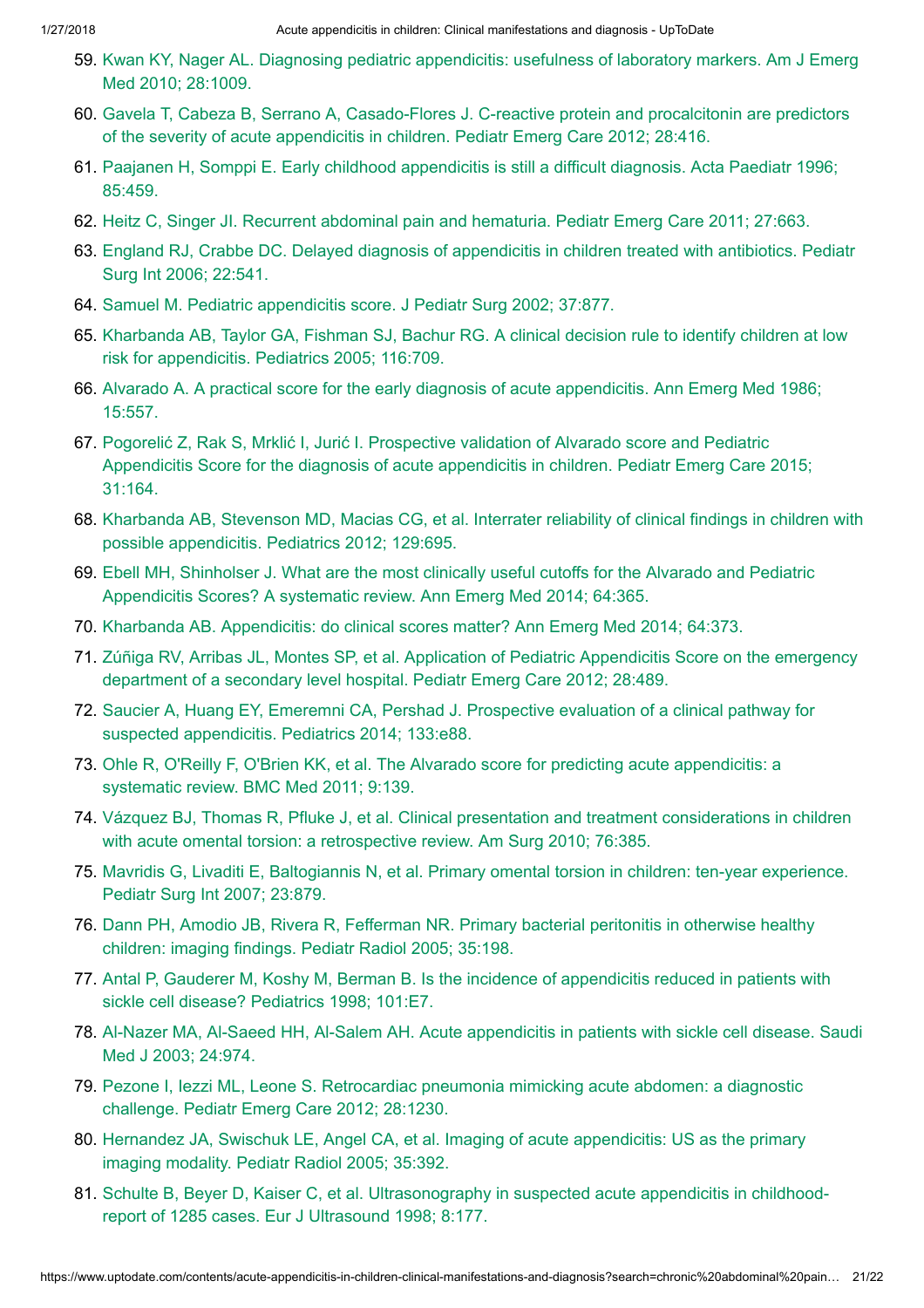- 59. Kwan KY, Nager AL. Diagnosing pediatric [appendicitis:](https://www.uptodate.com/contents/acute-appendicitis-in-children-clinical-manifestations-and-diagnosis/abstract/59) usefulness of laboratory markers. Am J Emerg Med 2010; 28:1009.
- 60. Gavela T, Cabeza B, Serrano A, [Casado-Flores](https://www.uptodate.com/contents/acute-appendicitis-in-children-clinical-manifestations-and-diagnosis/abstract/60) J. C-reactive protein and procalcitonin are predictors of the severity of acute appendicitis in children. Pediatr Emerg Care 2012; 28:416.
- 61. Paajanen H, Somppi E. Early childhood [appendicitis](https://www.uptodate.com/contents/acute-appendicitis-in-children-clinical-manifestations-and-diagnosis/abstract/61) is still a difficult diagnosis. Acta Paediatr 1996; 85:459.
- 62. Heitz C, Singer JI. Recurrent [abdominal pain](https://www.uptodate.com/contents/acute-appendicitis-in-children-clinical-manifestations-and-diagnosis/abstract/62) and hematuria. Pediatr Emerg Care 2011; 27:663.
- 63. England RJ, Crabbe DC. Delayed diagnosis of [appendicitis](https://www.uptodate.com/contents/acute-appendicitis-in-children-clinical-manifestations-and-diagnosis/abstract/63) in children treated with antibiotics. Pediatr Surg Int 2006; 22:541.
- 64. Samuel M. Pediatric [appendicitis](https://www.uptodate.com/contents/acute-appendicitis-in-children-clinical-manifestations-and-diagnosis/abstract/64) score. J Pediatr Surg 2002; 37:877.
- 65. Kharbanda AB, Taylor GA, Fishman SJ, Bachur RG. A [clinical decision](https://www.uptodate.com/contents/acute-appendicitis-in-children-clinical-manifestations-and-diagnosis/abstract/65) rule to identify children at low risk for appendicitis. Pediatrics 2005; 116:709.
- 66. Alvarado A. A [practical score](https://www.uptodate.com/contents/acute-appendicitis-in-children-clinical-manifestations-and-diagnosis/abstract/66) for the early diagnosis of acute appendicitis. Ann Emerg Med 1986; 15:557.
- 67. Pogorelić Z, Rak S, Mrklić I, Jurić I. Prospective validation of Alvarado score and Pediatric [Appendicitis](https://www.uptodate.com/contents/acute-appendicitis-in-children-clinical-manifestations-and-diagnosis/abstract/67) Score for the diagnosis of acute appendicitis in children. Pediatr Emerg Care 2015; 31:164.
- 68. Kharbanda AB, Stevenson MD, Macias CG, et al. Interrater reliability of [clinical findings](https://www.uptodate.com/contents/acute-appendicitis-in-children-clinical-manifestations-and-diagnosis/abstract/68) in children with possible appendicitis. Pediatrics 2012; 129:695.
- 69. Ebell MH, Shinholser J. What are the most clinically [useful cutoffs](https://www.uptodate.com/contents/acute-appendicitis-in-children-clinical-manifestations-and-diagnosis/abstract/69) for the Alvarado and Pediatric Appendicitis Scores? A systematic review. Ann Emerg Med 2014; 64:365.
- 70. Kharbanda AB. Appendicitis: do [clinical scores](https://www.uptodate.com/contents/acute-appendicitis-in-children-clinical-manifestations-and-diagnosis/abstract/70) matter? Ann Emerg Med 2014; 64:373.
- 71. Zúñiga RV, Arribas JL, Montes SP, et al. Application of Pediatric Appendicitis Score on the emergency department of a secondary [level hospital.](https://www.uptodate.com/contents/acute-appendicitis-in-children-clinical-manifestations-and-diagnosis/abstract/71) Pediatr Emerg Care 2012; 28:489.
- 72. Saucier A, Huang EY, Emeremni CA, Pershad J. Prospective evaluation of a [clinical pathway](https://www.uptodate.com/contents/acute-appendicitis-in-children-clinical-manifestations-and-diagnosis/abstract/72) for suspected appendicitis. Pediatrics 2014; 133:e88.
- 73. Ohle R, O'Reilly F, O'Brien KK, et al. The Alvarado score for predicting acute [appendicitis:](https://www.uptodate.com/contents/acute-appendicitis-in-children-clinical-manifestations-and-diagnosis/abstract/73) a systematic review. BMC Med 2011; 9:139.
- 74. Vázquez BJ, Thomas R, Pfluke J, et al. [Clinical presentation](https://www.uptodate.com/contents/acute-appendicitis-in-children-clinical-manifestations-and-diagnosis/abstract/74) and treatment considerations in children with acute omental torsion: a retrospective review. Am Surg 2010; 76:385.
- 75. Mavridis G, Livaditi E, Baltogiannis N, et al. Primary [omental torsion](https://www.uptodate.com/contents/acute-appendicitis-in-children-clinical-manifestations-and-diagnosis/abstract/75) in children: ten-year experience. Pediatr Surg Int 2007; 23:879.
- 76. Dann PH, Amodio JB, Rivera R, Fefferman NR. Primary [bacterial peritonitis](https://www.uptodate.com/contents/acute-appendicitis-in-children-clinical-manifestations-and-diagnosis/abstract/76) in otherwise healthy children: imaging findings. Pediatr Radiol 2005; 35:198.
- 77. Antal P, Gauderer M, Koshy M, Berman B. Is the incidence of appendicitis reduced in patients with sickle [cell disease?](https://www.uptodate.com/contents/acute-appendicitis-in-children-clinical-manifestations-and-diagnosis/abstract/77) Pediatrics 1998; 101:E7.
- 78. Al-Nazer MA, Al-Saeed HH, Al-Salem AH. Acute appendicitis in patients with sickle [cell disease.](https://www.uptodate.com/contents/acute-appendicitis-in-children-clinical-manifestations-and-diagnosis/abstract/78) Saudi Med J 2003; 24:974.
- 79. Pezone I, Iezzi ML, Leone S. [Retrocardiac](https://www.uptodate.com/contents/acute-appendicitis-in-children-clinical-manifestations-and-diagnosis/abstract/79) pneumonia mimicking acute abdomen: a diagnostic challenge. Pediatr Emerg Care 2012; 28:1230.
- 80. Hernandez JA, Swischuk LE, Angel CA, et al. Imaging of acute appendicitis: US as the primary imaging modality. Pediatr [Radiol 2005;](https://www.uptodate.com/contents/acute-appendicitis-in-children-clinical-manifestations-and-diagnosis/abstract/80) 35:392.
- 81. Schulte B, Beyer D, Kaiser C, et al. [Ultrasonography](https://www.uptodate.com/contents/acute-appendicitis-in-children-clinical-manifestations-and-diagnosis/abstract/81) in suspected acute appendicitis in childhoodreport of 1285 cases. Eur J Ultrasound 1998; 8:177.